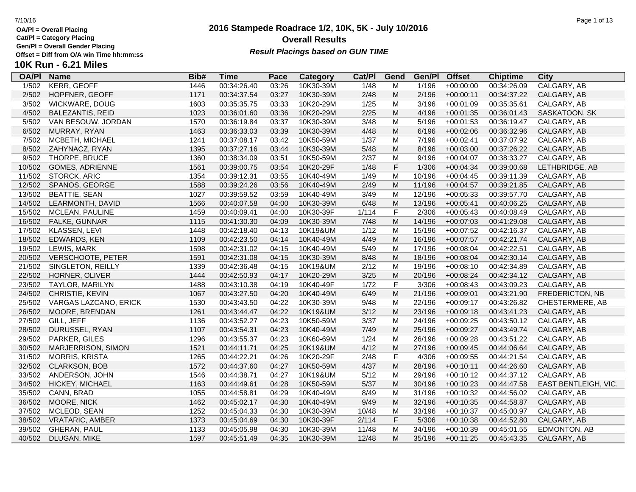Ē

**OA/Pl = Overall Placing**

**Cat/Pl = Category Placing**

**Gen/Pl = Overall Gender Placing**

**10K Run - 6.21 Miles**

## **2016 Stampede Roadrace 1/2, 10K, 5K - July 10/2016** 7/10/16 Page 1 of 13 **Overall Results** Gen/PI = Overall Gender Placing<br>Offset = Diff from O/A win Time hh:mm:ss *Result Placings based on GUN TIME*

| <b>OA/PI</b> | <b>Name</b>              | Bib# | <b>Time</b> | Pace  | Category  | Cat/Pl | Gend        | Gen/Pl | <b>Offset</b> | <b>Chiptime</b> | City                 |
|--------------|--------------------------|------|-------------|-------|-----------|--------|-------------|--------|---------------|-----------------|----------------------|
| 1/502        | <b>KERR, GEOFF</b>       | 1446 | 00:34:26.40 | 03:26 | 10K30-39M | 1/48   | M           | 1/196  | $+00:00:00$   | 00:34:26.09     | CALGARY, AB          |
| 2/502        | HOPFNER, GEOFF           | 1171 | 00:34:37.54 | 03:27 | 10K30-39M | 2/48   | M           | 2/196  | $+00:00:11$   | 00:34:37.22     | CALGARY, AB          |
| 3/502        | WICKWARE, DOUG           | 1603 | 00:35:35.75 | 03:33 | 10K20-29M | 1/25   | M           | 3/196  | $+00:01:09$   | 00:35:35.61     | CALGARY, AB          |
| 4/502        | <b>BALEZANTIS, REID</b>  | 1023 | 00:36:01.60 | 03:36 | 10K20-29M | 2/25   | M           | 4/196  | $+00:01:35$   | 00:36:01.43     | SASKATOON, SK        |
| 5/502        | VAN BESOUW, JORDAN       | 1570 | 00:36:19.84 | 03:37 | 10K30-39M | 3/48   | M           | 5/196  | $+00:01:53$   | 00:36:19.47     | CALGARY, AB          |
| 6/502        | MURRAY, RYAN             | 1463 | 00:36:33.03 | 03:39 | 10K30-39M | 4/48   | M           | 6/196  | $+00:02:06$   | 00:36:32.96     | CALGARY, AB          |
| 7/502        | MCBETH, MICHAEL          | 1241 | 00:37:08.17 | 03:42 | 10K50-59M | 1/37   | М           | 7/196  | $+00:02:41$   | 00:37:07.92     | CALGARY, AB          |
| 8/502        | ZAHYNACZ, RYAN           | 1395 | 00:37:27.16 | 03:44 | 10K30-39M | 5/48   | M           | 8/196  | $+00:03:00$   | 00:37:26.22     | CALGARY, AB          |
| 9/502        | THORPE, BRUCE            | 1360 | 00:38:34.09 | 03:51 | 10K50-59M | 2/37   | M           | 9/196  | $+00:04:07$   | 00:38:33.27     | CALGARY, AB          |
| 10/502       | <b>GOMES, ADRIENNE</b>   | 1561 | 00:39:00.75 | 03:54 | 10K20-29F | 1/48   | F           | 1/306  | $+00:04:34$   | 00:39:00.68     | LETHBRIDGE, AB       |
| 11/502       | STORCK, ARIC             | 1354 | 00:39:12.31 | 03:55 | 10K40-49M | 1/49   | M           | 10/196 | $+00:04:45$   | 00:39:11.39     | CALGARY, AB          |
| 12/502       | SPANOS, GEORGE           | 1588 | 00:39:24.26 | 03:56 | 10K40-49M | 2/49   | M           | 11/196 | $+00:04:57$   | 00:39:21.85     | CALGARY, AB          |
| 13/502       | <b>BEATTIE, SEAN</b>     | 1027 | 00:39:59.52 | 03:59 | 10K40-49M | 3/49   | M           | 12/196 | $+00:05:33$   | 00:39:57.70     | CALGARY, AB          |
| 14/502       | LEARMONTH, DAVID         | 1566 | 00:40:07.58 | 04:00 | 10K30-39M | 6/48   | M           | 13/196 | $+00:05:41$   | 00:40:06.25     | CALGARY, AB          |
| 15/502       | MCLEAN, PAULINE          | 1459 | 00:40:09.41 | 04:00 | 10K30-39F | 1/114  | F           | 2/306  | $+00:05:43$   | 00:40:08.49     | CALGARY, AB          |
| 16/502       | FALKE, GUNNAR            | 1115 | 00:41:30.30 | 04:09 | 10K30-39M | 7/48   | M           | 14/196 | $+00:07:03$   | 00:41:29.08     | CALGARY, AB          |
| 17/502       | KLASSEN, LEVI            | 1448 | 00:42:18.40 | 04:13 | 10K19&UM  | 1/12   | M           | 15/196 | $+00:07:52$   | 00:42:16.37     | CALGARY, AB          |
| 18/502       | EDWARDS, KEN             | 1109 | 00:42:23.50 | 04:14 | 10K40-49M | 4/49   | M           | 16/196 | $+00:07:57$   | 00:42:21.74     | CALGARY, AB          |
| 19/502       | LEWIS, MARK              | 1598 | 00:42:31.02 | 04:15 | 10K40-49M | 5/49   | M           | 17/196 | $+00:08:04$   | 00:42:22.51     | CALGARY, AB          |
| 20/502       | <b>VERSCHOOTE, PETER</b> | 1591 | 00:42:31.08 | 04:15 | 10K30-39M | 8/48   | M           | 18/196 | $+00:08:04$   | 00:42:30.14     | CALGARY, AB          |
| 21/502       | SINGLETON, REILLY        | 1339 | 00:42:36.48 | 04:15 | 10K19&UM  | 2/12   | M           | 19/196 | $+00:08:10$   | 00:42:34.89     | CALGARY, AB          |
| 22/502       | HORNER, OLIVER           | 1444 | 00:42:50.93 | 04:17 | 10K20-29M | 3/25   | M           | 20/196 | $+00:08:24$   | 00:42:34.12     | CALGARY, AB          |
| 23/502       | TAYLOR, MARILYN          | 1488 | 00:43:10.38 | 04:19 | 10K40-49F | 1/72   | $\mathsf F$ | 3/306  | $+00:08:43$   | 00:43:09.23     | CALGARY, AB          |
| 24/502       | CHRISTIE, KEVIN          | 1067 | 00:43:27.50 | 04:20 | 10K40-49M | 6/49   | M           | 21/196 | $+00:09:01$   | 00:43:21.90     | FREDERICTON, NB      |
| 25/502       | VARGAS LAZCANO, ERICK    | 1530 | 00:43:43.50 | 04:22 | 10K30-39M | 9/48   | M           | 22/196 | $+00:09:17$   | 00:43:26.82     | CHESTERMERE, AB      |
| 26/502       | MOORE, BRENDAN           | 1261 | 00:43:44.47 | 04:22 | 10K19&UM  | 3/12   | M           | 23/196 | $+00:09:18$   | 00:43:41.23     | CALGARY, AB          |
| 27/502       | GILL, JEFF               | 1136 | 00:43:52.27 | 04:23 | 10K50-59M | 3/37   | M           | 24/196 | $+00:09:25$   | 00:43:50.12     | CALGARY, AB          |
| 28/502       | DURUSSEL, RYAN           | 1107 | 00:43:54.31 | 04:23 | 10K40-49M | 7/49   | M           | 25/196 | +00:09:27     | 00:43:49.74     | CALGARY, AB          |
| 29/502       | PARKER, GILES            | 1296 | 00:43:55.37 | 04:23 | 10K60-69M | 1/24   | M           | 26/196 | $+00:09:28$   | 00:43:51.22     | CALGARY, AB          |
| 30/502       | MARJERRISON, SIMON       | 1521 | 00:44:11.71 | 04:25 | 10K19&UM  | 4/12   | M           | 27/196 | $+00:09:45$   | 00:44:06.64     | CALGARY, AB          |
| 31/502       | <b>MORRIS, KRISTA</b>    | 1265 | 00:44:22.21 | 04:26 | 10K20-29F | 2/48   | $\mathsf F$ | 4/306  | $+00:09:55$   | 00:44:21.54     | CALGARY, AB          |
| 32/502       | CLARKSON, BOB            | 1572 | 00:44:37.60 | 04:27 | 10K50-59M | 4/37   | M           | 28/196 | $+00:10:11$   | 00:44:26.60     | CALGARY, AB          |
| 33/502       | ANDERSON, JOHN           | 1546 | 00:44:38.71 | 04:27 | 10K19&UM  | 5/12   | M           | 29/196 | $+00:10:12$   | 00:44:37.12     | CALGARY, AB          |
| 34/502       | HICKEY, MICHAEL          | 1163 | 00:44:49.61 | 04:28 | 10K50-59M | 5/37   | M           | 30/196 | $+00:10:23$   | 00:44:47.58     | EAST BENTLEIGH, VIC. |
| 35/502       | CANN, BRAD               | 1055 | 00:44:58.81 | 04:29 | 10K40-49M | 8/49   | M           | 31/196 | $+00:10:32$   | 00:44:56.02     | CALGARY, AB          |
| 36/502       | MOORE, NICK              | 1462 | 00:45:02.17 | 04:30 | 10K40-49M | 9/49   | M           | 32/196 | $+00:10:35$   | 00:44:58.87     | CALGARY, AB          |
| 37/502       | MCLEOD, SEAN             | 1252 | 00:45:04.33 | 04:30 | 10K30-39M | 10/48  | M           | 33/196 | $+00:10:37$   | 00:45:00.97     | CALGARY, AB          |
| 38/502       | <b>VRATARIC, AMBER</b>   | 1373 | 00:45:04.69 | 04:30 | 10K30-39F | 2/114  | F           | 5/306  | $+00:10:38$   | 00:44:52.80     | CALGARY, AB          |
| 39/502       | <b>GHERAN, PAUL</b>      | 1133 | 00:45:05.98 | 04:30 | 10K30-39M | 11/48  | M           | 34/196 | $+00:10:39$   | 00:45:01.55     | EDMONTON, AB         |
| 40/502       | DLUGAN, MIKE             | 1597 | 00:45:51.49 | 04:35 | 10K30-39M | 12/48  | M           | 35/196 | $+00:11:25$   | 00:45:43.35     | CALGARY, AB          |
|              |                          |      |             |       |           |        |             |        |               |                 |                      |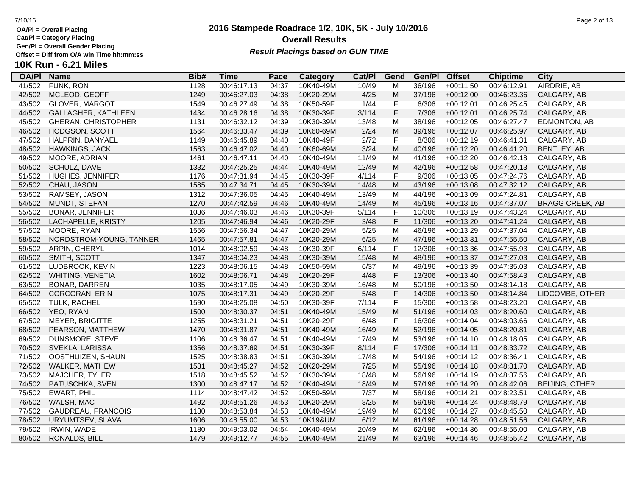**Cat/Pl = Category Placing**

**Gen/Pl = Overall Gender Placing**

**10K Run - 6.21 Miles**

## **2016 Stampede Roadrace 1/2, 10K, 5K - July 10/2016** 7/10/16 Page 2 of 13 **Overall Results**

# Gen/PI = Overall Gender Placing<br>Offset = Diff from O/A win Time hh:mm:ss *Result Placings based on GUN TIME*

| <b>OA/PI</b> | <b>Name</b>                | Bib# | Time        | Pace  | Category  | Cat/Pl | Gend         | Gen/Pl | <b>Offset</b> | <b>Chiptime</b> | City                   |
|--------------|----------------------------|------|-------------|-------|-----------|--------|--------------|--------|---------------|-----------------|------------------------|
| 41/502       | FUNK, RON                  | 1128 | 00:46:17.13 | 04:37 | 10K40-49M | 10/49  | M            | 36/196 | $+00:11:50$   | 00:46:12.91     | AIRDRIE, AB            |
| 42/502       | MCLEOD, GEOFF              | 1249 | 00:46:27.03 | 04:38 | 10K20-29M | 4/25   | M            | 37/196 | $+00:12:00$   | 00:46:23.36     | CALGARY, AB            |
| 43/502       | <b>GLOVER, MARGOT</b>      | 1549 | 00:46:27.49 | 04:38 | 10K50-59F | 1/44   | F            | 6/306  | $+00:12:01$   | 00:46:25.45     | CALGARY, AB            |
| 44/502       | GALLAGHER, KATHLEEN        | 1434 | 00:46:28.16 | 04:38 | 10K30-39F | 3/114  | F            | 7/306  | $+00:12:01$   | 00:46:25.74     | CALGARY, AB            |
| 45/502       | <b>GHERAN, CHRISTOPHER</b> | 1131 | 00:46:32.12 | 04:39 | 10K30-39M | 13/48  | M            | 38/196 | $+00:12:05$   | 00:46:27.47     | EDMONTON, AB           |
| 46/502       | HODGSON, SCOTT             | 1564 | 00:46:33.47 | 04:39 | 10K60-69M | 2/24   | M            | 39/196 | $+00:12:07$   | 00:46:25.97     | CALGARY, AB            |
| 47/502       | HALPRIN, DANYAEL           | 1149 | 00:46:45.89 | 04:40 | 10K40-49F | 2/72   | $\mathsf F$  | 8/306  | $+00:12:19$   | 00:46:41.31     | CALGARY, AB            |
| 48/502       | HAWKINGS, JACK             | 1563 | 00:46:47.02 | 04:40 | 10K60-69M | 3/24   | M            | 40/196 | $+00:12:20$   | 00:46:41.20     | BENTLEY, AB            |
| 49/502       | MOORE, ADRIAN              | 1461 | 00:46:47.11 | 04:40 | 10K40-49M | 11/49  | M            | 41/196 | $+00:12:20$   | 00:46:42.18     | CALGARY, AB            |
| 50/502       | SCHULZ, DAVE               | 1332 | 00:47:25.25 | 04:44 | 10K40-49M | 12/49  | M            | 42/196 | $+00:12:58$   | 00:47:20.13     | CALGARY, AB            |
| 51/502       | HUGHES, JENNIFER           | 1176 | 00:47:31.94 | 04:45 | 10K30-39F | 4/114  | $\mathsf F$  | 9/306  | $+00:13:05$   | 00:47:24.76     | CALGARY, AB            |
| 52/502       | CHAU, JASON                | 1585 | 00:47:34.71 | 04:45 | 10K30-39M | 14/48  | M            | 43/196 | $+00:13:08$   | 00:47:32.12     | CALGARY, AB            |
| 53/502       | RAMSEY, JASON              | 1312 | 00:47:36.05 | 04:45 | 10K40-49M | 13/49  | M            | 44/196 | $+00:13:09$   | 00:47:24.81     | CALGARY, AB            |
| 54/502       | MUNDT, STEFAN              | 1270 | 00:47:42.59 | 04:46 | 10K40-49M | 14/49  | M            | 45/196 | $+00:13:16$   | 00:47:37.07     | <b>BRAGG CREEK, AB</b> |
| 55/502       | <b>BONAR, JENNIFER</b>     | 1036 | 00:47:46.03 | 04:46 | 10K30-39F | 5/114  | $\mathsf F$  | 10/306 | $+00:13:19$   | 00:47:43.24     | CALGARY, AB            |
| 56/502       | LACHAPELLE, KRISTY         | 1205 | 00:47:46.94 | 04:46 | 10K20-29F | 3/48   | F            | 11/306 | $+00:13:20$   | 00:47:41.24     | CALGARY, AB            |
| 57/502       | MOORE, RYAN                | 1556 | 00:47:56.34 | 04:47 | 10K20-29M | 5/25   | M            | 46/196 | $+00:13:29$   | 00:47:37.04     | CALGARY, AB            |
| 58/502       | NORDSTROM-YOUNG, TANNER    | 1465 | 00:47:57.81 | 04:47 | 10K20-29M | 6/25   | ${\sf M}$    | 47/196 | $+00:13:31$   | 00:47:55.50     | CALGARY, AB            |
| 59/502       | <b>ARPIN, CHERYL</b>       | 1014 | 00:48:02.59 | 04:48 | 10K30-39F | 6/114  | $\mathsf F$  | 12/306 | $+00:13:36$   | 00:47:55.93     | CALGARY, AB            |
| 60/502       | SMITH, SCOTT               | 1347 | 00:48:04.23 | 04:48 | 10K30-39M | 15/48  | M            | 48/196 | $+00:13:37$   | 00:47:27.03     | CALGARY, AB            |
| 61/502       | LUDBROOK, KEVIN            | 1223 | 00:48:06.15 | 04:48 | 10K50-59M | 6/37   | M            | 49/196 | $+00:13:39$   | 00:47:35.03     | CALGARY, AB            |
| 62/502       | WHITING, VENETIA           | 1602 | 00:48:06.71 | 04:48 | 10K20-29F | 4/48   | F            | 13/306 | $+00:13:40$   | 00:47:58.43     | CALGARY, AB            |
| 63/502       | BONAR, DARREN              | 1035 | 00:48:17.05 | 04:49 | 10K30-39M | 16/48  | M            | 50/196 | $+00:13:50$   | 00:48:14.18     | CALGARY, AB            |
| 64/502       | <b>CORCORAN, ERIN</b>      | 1075 | 00:48:17.31 | 04:49 | 10K20-29F | 5/48   | $\mathsf F$  | 14/306 | $+00:13:50$   | 00:48:14.84     | LIDCOMBE, OTHER        |
| 65/502       | TULK, RACHEL               | 1590 | 00:48:25.08 | 04:50 | 10K30-39F | 7/114  | $\mathsf{F}$ | 15/306 | $+00:13:58$   | 00:48:23.20     | CALGARY, AB            |
| 66/502       | YEO, RYAN                  | 1500 | 00:48:30.37 | 04:51 | 10K40-49M | 15/49  | M            | 51/196 | $+00:14:03$   | 00:48:20.60     | CALGARY, AB            |
| 67/502       | <b>MEYER, BRIGITTE</b>     | 1255 | 00:48:31.21 | 04:51 | 10K20-29F | 6/48   | $\mathsf F$  | 16/306 | $+00:14:04$   | 00:48:03.66     | CALGARY, AB            |
| 68/502       | PEARSON, MATTHEW           | 1470 | 00:48:31.87 | 04:51 | 10K40-49M | 16/49  | M            | 52/196 | $+00:14:05$   | 00:48:20.81     | CALGARY, AB            |
| 69/502       | DUNSMORE, STEVE            | 1106 | 00:48:36.47 | 04:51 | 10K40-49M | 17/49  | M            | 53/196 | $+00:14:10$   | 00:48:18.05     | CALGARY, AB            |
| 70/502       | SVEKLA, LARISSA            | 1356 | 00:48:37.69 | 04:51 | 10K30-39F | 8/114  | F            | 17/306 | $+00:14:11$   | 00:48:33.72     | CALGARY, AB            |
| 71/502       | OOSTHUIZEN, SHAUN          | 1525 | 00:48:38.83 | 04:51 | 10K30-39M | 17/48  | M            | 54/196 | $+00:14:12$   | 00:48:36.41     | CALGARY, AB            |
| 72/502       | WALKER, MATHEW             | 1531 | 00:48:45.27 | 04:52 | 10K20-29M | 7/25   | M            | 55/196 | $+00:14:18$   | 00:48:31.70     | CALGARY, AB            |
| 73/502       | MAJCHER, TYLER             | 1518 | 00:48:45.52 | 04:52 | 10K30-39M | 18/48  | M            | 56/196 | $+00:14:19$   | 00:48:37.56     | CALGARY, AB            |
| 74/502       | PATUSCHKA, SVEN            | 1300 | 00:48:47.17 | 04:52 | 10K40-49M | 18/49  | M            | 57/196 | $+00:14:20$   | 00:48:42.06     | BEIJING, OTHER         |
| 75/502       | <b>EWART, PHIL</b>         | 1114 | 00:48:47.42 | 04:52 | 10K50-59M | 7/37   | M            | 58/196 | $+00:14:21$   | 00:48:23.51     | CALGARY, AB            |
| 76/502       | WALSH, MAC                 | 1492 | 00:48:51.26 | 04:53 | 10K20-29M | 8/25   | M            | 59/196 | $+00:14:24$   | 00:48:48.79     | CALGARY, AB            |
| 77/502       | GAUDREAU, FRANCOIS         | 1130 | 00:48:53.84 | 04:53 | 10K40-49M | 19/49  | M            | 60/196 | $+00:14:27$   | 00:48:45.50     | CALGARY, AB            |
| 78/502       | URYUMTSEV, SLAVA           | 1606 | 00:48:55.00 | 04:53 | 10K19&UM  | 6/12   | M            | 61/196 | $+00:14:28$   | 00:48:51.56     | CALGARY, AB            |
| 79/502       | <b>IRWIN, WADE</b>         | 1180 | 00:49:03.02 | 04:54 | 10K40-49M | 20/49  | M            | 62/196 | $+00:14:36$   | 00:48:55.00     | CALGARY, AB            |
| 80/502       | RONALDS, BILL              | 1479 | 00:49:12.77 | 04:55 | 10K40-49M | 21/49  | M            | 63/196 | $+00:14:46$   | 00:48:55.42     | CALGARY, AB            |
|              |                            |      |             |       |           |        |              |        |               |                 |                        |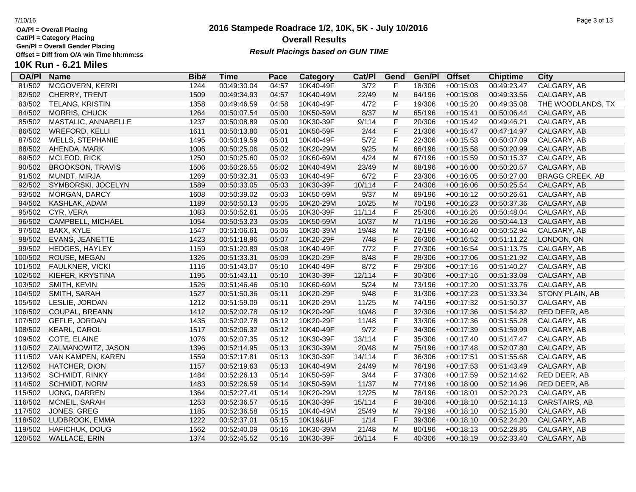**Cat/Pl = Category Placing**

**Gen/Pl = Overall Gender Placing**

**10K Run - 6.21 Miles**

## **2016 Stampede Roadrace 1/2, 10K, 5K - July 10/2016** 7/10/16 Page 3 of 13 **Overall Results Result Placings based on GUN TIME**

| <b>OA/PI</b> | <b>Name</b>             | Bib# | <b>Time</b> | Pace  | <b>Category</b> | Cat/PI         | Gend        | Gen/Pl | <b>Offset</b> | <b>Chiptime</b> | City                   |
|--------------|-------------------------|------|-------------|-------|-----------------|----------------|-------------|--------|---------------|-----------------|------------------------|
| 81/502       | <b>MCGOVERN, KERRI</b>  | 1244 | 00:49:30.04 | 04:57 | 10K40-49F       | $\frac{3}{72}$ | F           | 18/306 | $+00:15:03$   | 00:49:23.47     | CALGARY, AB            |
| 82/502       | CHERRY, TRENT           | 1509 | 00:49:34.93 | 04:57 | 10K40-49M       | 22/49          | M           | 64/196 | $+00:15:08$   | 00:49:33.56     | CALGARY, AB            |
| 83/502       | TELANG, KRISTIN         | 1358 | 00:49:46.59 | 04:58 | 10K40-49F       | 4/72           | $\mathsf F$ | 19/306 | $+00:15:20$   | 00:49:35.08     | THE WOODLANDS, TX      |
| 84/502       | MORRIS, CHUCK           | 1264 | 00:50:07.54 | 05:00 | 10K50-59M       | 8/37           | M           | 65/196 | $+00:15:41$   | 00:50:06.44     | CALGARY, AB            |
| 85/502       | MASTALIC, ANNABELLE     | 1237 | 00:50:08.89 | 05:00 | 10K30-39F       | 9/114          | $\mathsf F$ | 20/306 | $+00:15:42$   | 00:49:46.21     | CALGARY, AB            |
| 86/502       | <b>WREFORD, KELLI</b>   | 1611 | 00:50:13.80 | 05:01 | 10K50-59F       | 2/44           | F           | 21/306 | $+00:15:47$   | 00:47:14.97     | CALGARY, AB            |
| 87/502       | <b>WELLS, STEPHANIE</b> | 1495 | 00:50:19.59 | 05:01 | 10K40-49F       | 5/72           | $\mathsf F$ | 22/306 | $+00:15:53$   | 00:50:07.09     | CALGARY, AB            |
| 88/502       | AHENDA, MARK            | 1006 | 00:50:25.06 | 05:02 | 10K20-29M       | 9/25           | M           | 66/196 | $+00:15:58$   | 00:50:20.99     | CALGARY, AB            |
| 89/502       | MCLEOD, RICK            | 1250 | 00:50:25.60 | 05:02 | 10K60-69M       | 4/24           | M           | 67/196 | $+00:15:59$   | 00:50:15.37     | CALGARY, AB            |
| 90/502       | <b>BROOKSON, TRAVIS</b> | 1506 | 00:50:26.55 | 05:02 | 10K40-49M       | 23/49          | M           | 68/196 | $+00:16:00$   | 00:50:20.57     | CALGARY, AB            |
| 91/502       | MUNDT, MIRJA            | 1269 | 00:50:32.31 | 05:03 | 10K40-49F       | 6/72           | $\mathsf F$ | 23/306 | $+00:16:05$   | 00:50:27.00     | <b>BRAGG CREEK, AB</b> |
| 92/502       | SYMBORSKI, JOCELYN      | 1589 | 00:50:33.05 | 05:03 | 10K30-39F       | 10/114         | F           | 24/306 | $+00:16:06$   | 00:50:25.54     | CALGARY, AB            |
| 93/502       | MORGAN, DARCY           | 1608 | 00:50:39.02 | 05:03 | 10K50-59M       | 9/37           | M           | 69/196 | $+00:16:12$   | 00:50:26.61     | CALGARY, AB            |
| 94/502       | KASHLAK, ADAM           | 1189 | 00:50:50.13 | 05:05 | 10K20-29M       | 10/25          | M           | 70/196 | $+00:16:23$   | 00:50:37.36     | CALGARY, AB            |
| 95/502       | CYR, VERA               | 1083 | 00:50:52.61 | 05:05 | 10K30-39F       | 11/114         | $\mathsf F$ | 25/306 | $+00:16:26$   | 00:50:48.04     | CALGARY, AB            |
| 96/502       | CAMPBELL, MICHAEL       | 1054 | 00:50:53.23 | 05:05 | 10K50-59M       | 10/37          | M           | 71/196 | $+00:16:26$   | 00:50:44.13     | CALGARY, AB            |
| 97/502       | BAKX, KYLE              | 1547 | 00:51:06.61 | 05:06 | 10K30-39M       | 19/48          | M           | 72/196 | $+00:16:40$   | 00:50:52.94     | CALGARY, AB            |
| 98/502       | EVANS, JEANETTE         | 1423 | 00:51:18.96 | 05:07 | 10K20-29F       | 7/48           | $\mathsf F$ | 26/306 | $+00:16:52$   | 00:51:11.22     | LONDON, ON             |
| 99/502       | <b>HEDGES, HAYLEY</b>   | 1159 | 00:51:20.89 | 05:08 | 10K40-49F       | 7/72           | $\mathsf F$ | 27/306 | $+00:16:54$   | 00:51:13.75     | CALGARY, AB            |
| 100/502      | ROUSE, MEGAN            | 1326 | 00:51:33.31 | 05:09 | 10K20-29F       | 8/48           | $\mathsf F$ | 28/306 | $+00:17:06$   | 00:51:21.92     | CALGARY, AB            |
| 101/502      | FAULKNER, VICKI         | 1116 | 00:51:43.07 | 05:10 | 10K40-49F       | 8/72           | $\mathsf F$ | 29/306 | $+00:17:16$   | 00:51:40.27     | CALGARY, AB            |
| 102/502      | KIEFER, KRYSTINA        | 1195 | 00:51:43.11 | 05:10 | 10K30-39F       | 12/114         | F           | 30/306 | $+00:17:16$   | 00:51:33.08     | CALGARY, AB            |
| 103/502      | SMITH, KEVIN            | 1526 | 00:51:46.46 | 05:10 | 10K60-69M       | 5/24           | M           | 73/196 | $+00:17:20$   | 00:51:33.76     | CALGARY, AB            |
| 104/502      | SMITH, SARAH            | 1527 | 00:51:50.36 | 05:11 | 10K20-29F       | 9/48           | $\mathsf F$ | 31/306 | $+00:17:23$   | 00:51:33.34     | STONY PLAIN, AB        |
| 105/502      | LESLIE, JORDAN          | 1212 | 00:51:59.09 | 05:11 | 10K20-29M       | 11/25          | M           | 74/196 | $+00:17:32$   | 00:51:50.37     | CALGARY, AB            |
| 106/502      | COUPAL, BREANN          | 1412 | 00:52:02.78 | 05:12 | 10K20-29F       | 10/48          | $\mathsf F$ | 32/306 | $+00:17:36$   | 00:51:54.82     | RED DEER, AB           |
| 107/502      | GEFLE, JORDAN           | 1435 | 00:52:02.78 | 05:12 | 10K20-29F       | 11/48          | F           | 33/306 | $+00:17:36$   | 00:51:55.28     | CALGARY, AB            |
| 108/502      | KEARL, CAROL            | 1517 | 00:52:06.32 | 05:12 | 10K40-49F       | 9/72           | $\mathsf F$ | 34/306 | $+00:17:39$   | 00:51:59.99     | CALGARY, AB            |
| 109/502      | COTE, ELAINE            | 1076 | 00:52:07.35 | 05:12 | 10K30-39F       | 13/114         | $\mathsf F$ | 35/306 | $+00:17:40$   | 00:51:47.47     | CALGARY, AB            |
| 110/502      | ZALMANOWITZ, JASON      | 1396 | 00:52:14.95 | 05:13 | 10K30-39M       | 20/48          | M           | 75/196 | $+00:17:48$   | 00:52:07.80     | CALGARY, AB            |
| 111/502      | VAN KAMPEN, KAREN       | 1559 | 00:52:17.81 | 05:13 | 10K30-39F       | 14/114         | F           | 36/306 | $+00:17:51$   | 00:51:55.68     | CALGARY, AB            |
| 112/502      | HATCHER, DION           | 1157 | 00:52:19.63 | 05:13 | 10K40-49M       | 24/49          | M           | 76/196 | $+00:17:53$   | 00:51:43.49     | CALGARY, AB            |
| 113/502      | SCHMIDT, RINKY          | 1484 | 00:52:26.13 | 05:14 | 10K50-59F       | 3/44           | $\mathsf F$ | 37/306 | $+00:17:59$   | 00:52:14.62     | RED DEER, AB           |
| 114/502      | <b>SCHMIDT, NORM</b>    | 1483 | 00:52:26.59 | 05:14 | 10K50-59M       | 11/37          | M           | 77/196 | $+00:18:00$   | 00:52:14.96     | RED DEER, AB           |
| 115/502      | <b>UONG, DARREN</b>     | 1364 | 00:52:27.41 | 05:14 | 10K20-29M       | 12/25          | M           | 78/196 | $+00:18:01$   | 00:52:20.23     | CALGARY, AB            |
| 116/502      | MCNEIL, SARAH           | 1253 | 00:52:36.57 | 05:15 | 10K30-39F       | 15/114         | $\mathsf F$ | 38/306 | $+00:18:10$   | 00:52:14.13     | CARSTAIRS, AB          |
| 117/502      | JONES, GREG             | 1185 | 00:52:36.58 | 05:15 | 10K40-49M       | 25/49          | M           | 79/196 | $+00:18:10$   | 00:52:15.80     | CALGARY, AB            |
| 118/502      | LUDBROOK, EMMA          | 1222 | 00:52:37.01 | 05:15 | 10K19&UF        | 1/14           | $\mathsf F$ | 39/306 | $+00:18:10$   | 00:52:24.20     | CALGARY, AB            |
| 119/502      | <b>HAFICHUK, DOUG</b>   | 1562 | 00:52:40.09 | 05:16 | 10K30-39M       | 21/48          | M           | 80/196 | $+00:18:13$   | 00:52:28.85     | CALGARY, AB            |

120/502 WALLACE, ERIN 1374 00:52:45.52 05:16 10K30-39F 16/114 F 40/306 +00:18:19 00:52:33.40 CALGARY, AB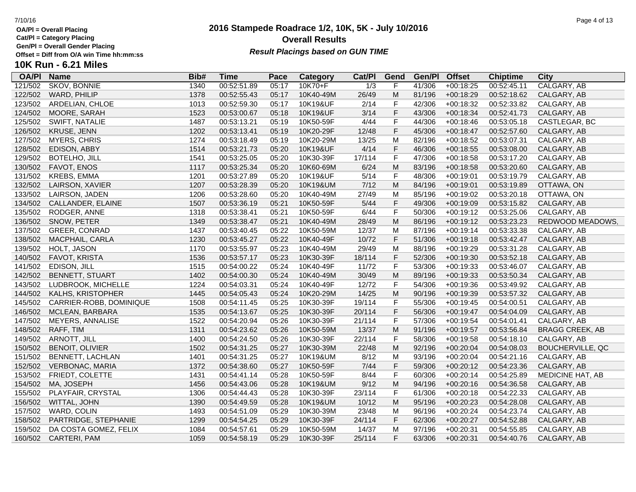**Cat/Pl = Category Placing**

**Gen/Pl = Overall Gender Placing**

## **2016 Stampede Roadrace 1/2, 10K, 5K - July 10/2016** 7/10/16 Page 4 of 13 **Overall Results Result Placings based on GUN TIME**

## **10K Run - 6.21 Miles**

| <b>OA/PI</b> | <b>Name</b>              | Bib# | Time        | Pace  | Category  | Cat/Pl           | Gend        | Gen/Pl | <b>Offset</b> | <b>Chiptime</b> | City                    |
|--------------|--------------------------|------|-------------|-------|-----------|------------------|-------------|--------|---------------|-----------------|-------------------------|
| 121/502      | <b>SKOV, BONNIE</b>      | 1340 | 00:52:51.89 | 05:17 | 10K70+F   | $\overline{1/3}$ | F           | 41/306 | $+00:18:25$   | 00:52:45.11     | CALGARY, AB             |
| 122/502      | WARD, PHILIP             | 1378 | 00:52:55.43 | 05:17 | 10K40-49M | 26/49            | M           | 81/196 | $+00:18:29$   | 00:52:18.62     | CALGARY, AB             |
| 123/502      | ARDELIAN, CHLOE          | 1013 | 00:52:59.30 | 05:17 | 10K19&UF  | 2/14             | F           | 42/306 | $+00:18:32$   | 00:52:33.82     | CALGARY, AB             |
| 124/502      | MOORE, SARAH             | 1523 | 00:53:00.67 | 05:18 | 10K19&UF  | 3/14             | F           | 43/306 | $+00:18:34$   | 00:52:41.73     | CALGARY, AB             |
| 125/502      | SWIFT, NATALIE           | 1487 | 00:53:13.21 | 05:19 | 10K50-59F | 4/44             | F           | 44/306 | $+00:18:46$   | 00:53:05.18     | CASTLEGAR, BC           |
| 126/502      | KRUSE, JENN              | 1202 | 00:53:13.41 | 05:19 | 10K20-29F | 12/48            | $\mathsf F$ | 45/306 | $+00:18:47$   | 00:52:57.60     | CALGARY, AB             |
| 127/502      | <b>MYERS, CHRIS</b>      | 1274 | 00:53:18.49 | 05:19 | 10K20-29M | 13/25            | M           | 82/196 | $+00:18:52$   | 00:53:07.31     | CALGARY, AB             |
| 128/502      | EDISON, ABBY             | 1514 | 00:53:21.73 | 05:20 | 10K19&UF  | 4/14             | F           | 46/306 | $+00:18:55$   | 00:53:08.00     | CALGARY, AB             |
| 129/502      | <b>BOTELHO, JILL</b>     | 1541 | 00:53:25.05 | 05:20 | 10K30-39F | 17/114           | $\mathsf F$ | 47/306 | $+00:18:58$   | 00:53:17.20     | CALGARY, AB             |
| 130/502      | FAVOT, ENOS              | 1117 | 00:53:25.34 | 05:20 | 10K60-69M | 6/24             | M           | 83/196 | $+00:18:58$   | 00:53:20.60     | CALGARY, AB             |
| 131/502      | <b>KREBS, EMMA</b>       | 1201 | 00:53:27.89 | 05:20 | 10K19&UF  | 5/14             | F           | 48/306 | $+00:19:01$   | 00:53:19.79     | CALGARY, AB             |
| 132/502      | LAIRSON, XAVIER          | 1207 | 00:53:28.39 | 05:20 | 10K19&UM  | 7/12             | M           | 84/196 | $+00:19:01$   | 00:53:19.89     | OTTAWA, ON              |
| 133/502      | LAIRSON, JADEN           | 1206 | 00:53:28.60 | 05:20 | 10K40-49M | 27/49            | M           | 85/196 | $+00:19:02$   | 00:53:20.18     | OTTAWA, ON              |
| 134/502      | CALLANDER, ELAINE        | 1507 | 00:53:36.19 | 05:21 | 10K50-59F | 5/44             | F           | 49/306 | $+00:19:09$   | 00:53:15.82     | CALGARY, AB             |
| 135/502      | RODGER, ANNE             | 1318 | 00:53:38.41 | 05:21 | 10K50-59F | 6/44             | F           | 50/306 | $+00:19:12$   | 00:53:25.06     | CALGARY, AB             |
| 136/502      | SNOW, PETER              | 1349 | 00:53:38.47 | 05:21 | 10K40-49M | 28/49            | M           | 86/196 | $+00:19:12$   | 00:53:23.23     | REDWOOD MEADOWS,        |
| 137/502      | GREER, CONRAD            | 1437 | 00:53:40.45 | 05:22 | 10K50-59M | 12/37            | M           | 87/196 | $+00:19:14$   | 00:53:33.38     | CALGARY, AB             |
| 138/502      | MACPHAIL, CARLA          | 1230 | 00:53:45.27 | 05:22 | 10K40-49F | 10/72            | F           | 51/306 | $+00:19:18$   | 00:53:42.47     | CALGARY, AB             |
| 139/502      | HOLT, JASON              | 1170 | 00:53:55.97 | 05:23 | 10K40-49M | 29/49            | M           | 88/196 | $+00:19:29$   | 00:53:31.28     | CALGARY, AB             |
| 140/502      | FAVOT, KRISTA            | 1536 | 00:53:57.17 | 05:23 | 10K30-39F | 18/114           | F           | 52/306 | $+00:19:30$   | 00:53:52.18     | CALGARY, AB             |
| 141/502      | EDISON, JILL             | 1515 | 00:54:00.22 | 05:24 | 10K40-49F | 11/72            | F           | 53/306 | $+00:19:33$   | 00:53:46.07     | CALGARY, AB             |
| 142/502      | <b>BENNETT, STUART</b>   | 1402 | 00:54:00.30 | 05:24 | 10K40-49M | 30/49            | M           | 89/196 | $+00:19:33$   | 00:53:50.34     | CALGARY, AB             |
| 143/502      | LUDBROOK, MICHELLE       | 1224 | 00:54:03.31 | 05:24 | 10K40-49F | 12/72            | F           | 54/306 | $+00:19:36$   | 00:53:49.92     | CALGARY, AB             |
| 144/502      | <b>KALHS, KRISTOPHER</b> | 1445 | 00:54:05.43 | 05:24 | 10K20-29M | 14/25            | M           | 90/196 | $+00:19:39$   | 00:53:57.32     | CALGARY, AB             |
| 145/502      | CARRIER-ROBB, DOMINIQUE  | 1508 | 00:54:11.45 | 05:25 | 10K30-39F | 19/114           | F           | 55/306 | $+00:19:45$   | 00:54:00.51     | CALGARY, AB             |
| 146/502      | MCLEAN, BARBARA          | 1535 | 00:54:13.67 | 05:25 | 10K30-39F | 20/114           | $\mathsf F$ | 56/306 | $+00:19:47$   | 00:54:04.09     | CALGARY, AB             |
| 147/502      | MEYERS, ANNALISE         | 1522 | 00:54:20.94 | 05:26 | 10K30-39F | 21/114           | F           | 57/306 | $+00:19:54$   | 00:54:01.41     | CALGARY, AB             |
| 148/502      | RAFF, TIM                | 1311 | 00:54:23.62 | 05:26 | 10K50-59M | 13/37            | M           | 91/196 | $+00:19:57$   | 00:53:56.84     | <b>BRAGG CREEK, AB</b>  |
| 149/502      | ARNOTT, JILL             | 1400 | 00:54:24.50 | 05:26 | 10K30-39F | 22/114           | F           | 58/306 | $+00:19:58$   | 00:54:18.10     | CALGARY, AB             |
| 150/502      | <b>BENOIT, OLIVIER</b>   | 1502 | 00:54:31.25 | 05:27 | 10K30-39M | 22/48            | M           | 92/196 | $+00:20:04$   | 00:54:08.03     | <b>BOUCHERVILLE, QC</b> |
| 151/502      | <b>BENNETT, LACHLAN</b>  | 1401 | 00:54:31.25 | 05:27 | 10K19&UM  | 8/12             | M           | 93/196 | $+00:20:04$   | 00:54:21.16     | CALGARY, AB             |
| 152/502      | <b>VERBONAC, MARIA</b>   | 1372 | 00:54:38.60 | 05:27 | 10K50-59F | 7/44             | $\mathsf F$ | 59/306 | $+00:20:12$   | 00:54:23.36     | CALGARY, AB             |
| 153/502      | FRIEDT, COLETTE          | 1431 | 00:54:41.14 | 05:28 | 10K50-59F | 8/44             | F           | 60/306 | $+00:20:14$   | 00:54:25.89     | <b>MEDICINE HAT, AB</b> |
| 154/502      | MA, JOSEPH               | 1456 | 00:54:43.06 | 05:28 | 10K19&UM  | 9/12             | M           | 94/196 | $+00:20:16$   | 00:54:36.58     | CALGARY, AB             |
| 155/502      | PLAYFAIR, CRYSTAL        | 1306 | 00:54:44.43 | 05:28 | 10K30-39F | 23/114           | F           | 61/306 | $+00:20:18$   | 00:54:22.33     | CALGARY, AB             |
| 156/502      | WITTAL, JOHN             | 1390 | 00:54:49.59 | 05:28 | 10K19&UM  | 10/12            | M           | 95/196 | $+00:20:23$   | 00:54:28.08     | CALGARY, AB             |
| 157/502      | WARD, COLIN              | 1493 | 00:54:51.09 | 05:29 | 10K30-39M | 23/48            | M           | 96/196 | $+00:20:24$   | 00:54:23.74     | CALGARY, AB             |
| 158/502      | PARTRIDGE, STEPHANIE     | 1299 | 00:54:54.25 | 05:29 | 10K30-39F | 24/114           | $\mathsf F$ | 62/306 | $+00:20:27$   | 00:54:52.88     | CALGARY, AB             |
| 159/502      | DA COSTA GOMEZ, FELIX    | 1084 | 00:54:57.61 | 05:29 | 10K50-59M | 14/37            | M           | 97/196 | $+00:20:31$   | 00:54:55.85     | CALGARY, AB             |
|              | 160/502 CARTERI, PAM     | 1059 | 00:54:58.19 | 05:29 | 10K30-39F | 25/114           | F           | 63/306 | $+00:20:31$   | 00:54:40.76     | CALGARY, AB             |
|              |                          |      |             |       |           |                  |             |        |               |                 |                         |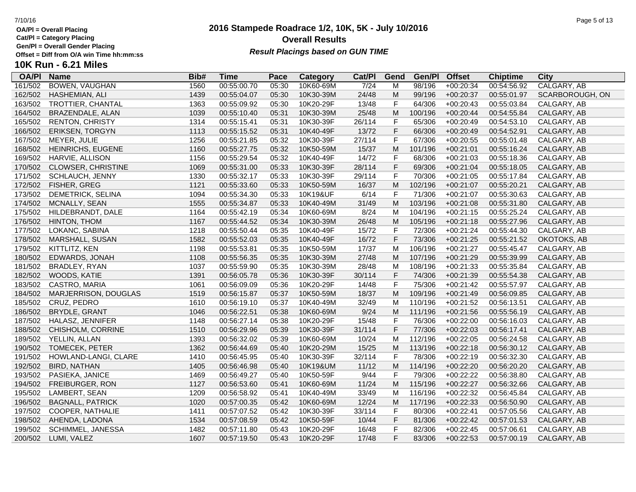**Cat/Pl = Category Placing**

**Gen/Pl = Overall Gender Placing**

**10K Run - 6.21 Miles**

## **2016 Stampede Roadrace 1/2, 10K, 5K - July 10/2016** 7/10/16 Page 5 of 13 **Overall Results**

**Result Placings based on GUN TIME** 

| <b>OA/PI</b> | <b>Name</b>             | Bib# | <b>Time</b> | Pace  | <b>Category</b> | Cat/PI         | Gend        | Gen/Pl  | <b>Offset</b> | <b>Chiptime</b> | City            |
|--------------|-------------------------|------|-------------|-------|-----------------|----------------|-------------|---------|---------------|-----------------|-----------------|
| 161/502      | <b>BOWEN, VAUGHAN</b>   | 1560 | 00:55:00.70 | 05:30 | 10K60-69M       | $\frac{7}{24}$ | M           | 98/196  | $+00:20:34$   | 00:54:56.92     | CALGARY, AB     |
| 162/502      | HASHEMIAN, ALI          | 1439 | 00:55:04.07 | 05:30 | 10K30-39M       | 24/48          | M           | 99/196  | $+00:20:37$   | 00:55:01.97     | SCARBOROUGH, ON |
| 163/502      | TROTTIER, CHANTAL       | 1363 | 00:55:09.92 | 05:30 | 10K20-29F       | 13/48          | $\mathsf F$ | 64/306  | $+00:20:43$   | 00:55:03.84     | CALGARY, AB     |
| 164/502      | BRAZENDALE, ALAN        | 1039 | 00:55:10.40 | 05:31 | 10K30-39M       | 25/48          | M           | 100/196 | $+00:20:44$   | 00:54:55.84     | CALGARY, AB     |
| 165/502      | <b>RENTON, CHRISTY</b>  | 1314 | 00:55:15.41 | 05:31 | 10K30-39F       | 26/114         | $\mathsf F$ | 65/306  | $+00:20:49$   | 00:54:53.10     | CALGARY, AB     |
| 166/502      | ERIKSEN, TORGYN         | 1113 | 00:55:15.52 | 05:31 | 10K40-49F       | 13/72          | $\mathsf F$ | 66/306  | $+00:20:49$   | 00:54:52.91     | CALGARY, AB     |
| 167/502      | MEYER, JULIE            | 1256 | 00:55:21.85 | 05:32 | 10K30-39F       | 27/114         | $\mathsf F$ | 67/306  | $+00:20:55$   | 00:55:01.48     | CALGARY, AB     |
| 168/502      | HEINRICHS, EUGENE       | 1160 | 00:55:27.75 | 05:32 | 10K50-59M       | 15/37          | M           | 101/196 | $+00:21:01$   | 00:55:16.24     | CALGARY, AB     |
| 169/502      | HARVIE, ALLISON         | 1156 | 00:55:29.54 | 05:32 | 10K40-49F       | 14/72          | $\mathsf F$ | 68/306  | $+00:21:03$   | 00:55:18.36     | CALGARY, AB     |
| 170/502      | CLOWSER, CHRISTINE      | 1069 | 00:55:31.00 | 05:33 | 10K30-39F       | 28/114         | $\mathsf F$ | 69/306  | $+00:21:04$   | 00:55:18.05     | CALGARY, AB     |
| 171/502      | SCHLAUCH, JENNY         | 1330 | 00:55:32.17 | 05:33 | 10K30-39F       | 29/114         | $\mathsf F$ | 70/306  | $+00:21:05$   | 00:55:17.84     | CALGARY, AB     |
| 172/502      | FISHER, GREG            | 1121 | 00:55:33.60 | 05:33 | 10K50-59M       | 16/37          | M           | 102/196 | $+00:21:07$   | 00:55:20.21     | CALGARY, AB     |
| 173/502      | DEMETRICK, SELINA       | 1094 | 00:55:34.30 | 05:33 | 10K19&UF        | 6/14           | $\mathsf F$ | 71/306  | $+00:21:07$   | 00:55:30.63     | CALGARY, AB     |
| 174/502      | MCNALLY, SEAN           | 1555 | 00:55:34.87 | 05:33 | 10K40-49M       | 31/49          | M           | 103/196 | $+00:21:08$   | 00:55:31.80     | CALGARY, AB     |
| 175/502      | HILDEBRANDT, DALE       | 1164 | 00:55:42.19 | 05:34 | 10K60-69M       | 8/24           | M           | 104/196 | $+00:21:15$   | 00:55:25.24     | CALGARY, AB     |
| 176/502      | HINTON, THOM            | 1167 | 00:55:44.52 | 05:34 | 10K30-39M       | 26/48          | M           | 105/196 | $+00:21:18$   | 00:55:27.96     | CALGARY, AB     |
| 177/502      | LOKANC, SABINA          | 1218 | 00:55:50.44 | 05:35 | 10K40-49F       | 15/72          | $\mathsf F$ | 72/306  | $+00:21:24$   | 00:55:44.30     | CALGARY, AB     |
| 178/502      | MARSHALL, SUSAN         | 1582 | 00:55:52.03 | 05:35 | 10K40-49F       | 16/72          | $\mathsf F$ | 73/306  | $+00:21:25$   | 00:55:21.52     | OKOTOKS, AB     |
| 179/502      | KITTLITZ, KEN           | 1198 | 00:55:53.81 | 05:35 | 10K50-59M       | 17/37          | M           | 106/196 | $+00:21:27$   | 00:55:45.47     | CALGARY, AB     |
| 180/502      | EDWARDS, JONAH          | 1108 | 00:55:56.35 | 05:35 | 10K30-39M       | 27/48          | M           | 107/196 | $+00:21:29$   | 00:55:39.99     | CALGARY, AB     |
| 181/502      | BRADLEY, RYAN           | 1037 | 00:55:59.90 | 05:35 | 10K30-39M       | 28/48          | M           | 108/196 | $+00:21:33$   | 00:55:35.84     | CALGARY, AB     |
| 182/502      | WOODS, KATIE            | 1391 | 00:56:05.78 | 05:36 | 10K30-39F       | 30/114         | $\mathsf F$ | 74/306  | $+00:21:39$   | 00:55:54.38     | CALGARY, AB     |
| 183/502      | CASTRO, MARIA           | 1061 | 00:56:09.09 | 05:36 | 10K20-29F       | 14/48          | $\mathsf F$ | 75/306  | $+00:21:42$   | 00:55:57.97     | CALGARY, AB     |
| 184/502      | MARJERRISON, DOUGLAS    | 1519 | 00:56:15.87 | 05:37 | 10K50-59M       | 18/37          | M           | 109/196 | $+00:21:49$   | 00:56:09.85     | CALGARY, AB     |
| 185/502      | CRUZ, PEDRO             | 1610 | 00:56:19.10 | 05:37 | 10K40-49M       | 32/49          | M           | 110/196 | $+00:21:52$   | 00:56:13.51     | CALGARY, AB     |
| 186/502      | <b>BRYDLE, GRANT</b>    | 1046 | 00:56:22.51 | 05:38 | 10K60-69M       | 9/24           | M           | 111/196 | $+00:21:56$   | 00:55:56.19     | CALGARY, AB     |
| 187/502      | HALASZ, JENNIFER        | 1148 | 00:56:27.14 | 05:38 | 10K20-29F       | 15/48          | $\mathsf F$ | 76/306  | $+00:22:00$   | 00:56:16.03     | CALGARY, AB     |
| 188/502      | CHISHOLM, CORRINE       | 1510 | 00:56:29.96 | 05:39 | 10K30-39F       | 31/114         | $\mathsf F$ | 77/306  | $+00:22:03$   | 00:56:17.41     | CALGARY, AB     |
| 189/502      | YELLIN, ALLAN           | 1393 | 00:56:32.02 | 05:39 | 10K60-69M       | 10/24          | M           | 112/196 | $+00:22:05$   | 00:56:24.58     | CALGARY, AB     |
| 190/502      | TOMECEK, PETER          | 1362 | 00:56:44.69 | 05:40 | 10K20-29M       | 15/25          | M           | 113/196 | $+00:22:18$   | 00:56:30.12     | CALGARY, AB     |
| 191/502      | HOWLAND-LANGI, CLARE    | 1410 | 00:56:45.95 | 05:40 | 10K30-39F       | 32/114         | $\mathsf F$ | 78/306  | $+00:22:19$   | 00:56:32.30     | CALGARY, AB     |
| 192/502      | <b>BIRD, NATHAN</b>     | 1405 | 00:56:46.98 | 05:40 | 10K19&UM        | 11/12          | M           | 114/196 | $+00:22:20$   | 00:56:20.20     | CALGARY, AB     |
| 193/502      | PASIEKA, JANICE         | 1469 | 00:56:49.27 | 05:40 | 10K50-59F       | 9/44           | $\mathsf F$ | 79/306  | $+00:22:22$   | 00:56:38.80     | CALGARY, AB     |
| 194/502      | FREIBURGER, RON         | 1127 | 00:56:53.60 | 05:41 | 10K60-69M       | 11/24          | M           | 115/196 | $+00:22:27$   | 00:56:32.66     | CALGARY, AB     |
| 195/502      | LAMBERT, SEAN           | 1209 | 00:56:58.92 | 05:41 | 10K40-49M       | 33/49          | M           | 116/196 | $+00:22:32$   | 00:56:45.84     | CALGARY, AB     |
| 196/502      | <b>BAGNALL, PATRICK</b> | 1020 | 00:57:00.35 | 05:42 | 10K60-69M       | 12/24          | M           | 117/196 | $+00:22:33$   | 00:56:50.90     | CALGARY, AB     |
| 197/502      | COOPER, NATHALIE        | 1411 | 00:57:07.52 | 05:42 | 10K30-39F       | 33/114         | $\mathsf F$ | 80/306  | $+00:22:41$   | 00:57:05.56     | CALGARY, AB     |
| 198/502      | AHENDA, LADONA          | 1534 | 00:57:08.59 | 05:42 | 10K50-59F       | 10/44          | $\mathsf F$ | 81/306  | $+00:22:42$   | 00:57:01.53     | CALGARY, AB     |
| 199/502      | SCHIMMEL, JANESSA       | 1482 | 00:57:11.80 | 05:43 | 10K20-29F       | 16/48          | $\mathsf F$ | 82/306  | $+00:22:45$   | 00:57:06.61     | CALGARY, AB     |
| 200/502      | LUMI, VALEZ             | 1607 | 00:57:19.50 | 05:43 | 10K20-29F       | 17/48          | F           | 83/306  | $+00:22:53$   | 00:57:00.19     | CALGARY, AB     |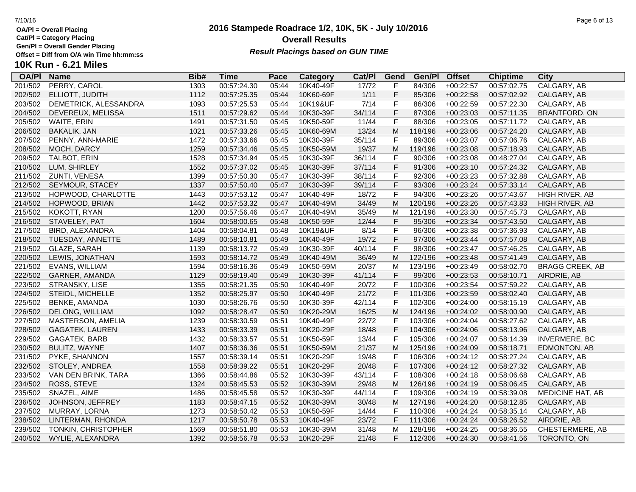**Cat/Pl = Category Placing**

**Gen/Pl = Overall Gender Placing**

# **10K Run - 6.21 Miles**

| <b>OA/PI</b> | <b>Name</b>            | Bib# | Time        | Pace  | <b>Category</b> | Cat/PI | Gend         | Gen/Pl  | <b>Offset</b> | <b>Chiptime</b> | City                    |
|--------------|------------------------|------|-------------|-------|-----------------|--------|--------------|---------|---------------|-----------------|-------------------------|
| 201/502      | PERRY, CAROL           | 1303 | 00:57:24.30 | 05:44 | 10K40-49F       | 17/72  | F            | 84/306  | $+00:22:57$   | 00:57:02.75     | CALGARY, AB             |
| 202/502      | ELLIOTT, JUDITH        | 1112 | 00:57:25.35 | 05:44 | 10K60-69F       | 1/11   | F            | 85/306  | $+00:22:58$   | 00:57:02.92     | CALGARY, AB             |
| 203/502      | DEMETRICK, ALESSANDRA  | 1093 | 00:57:25.53 | 05:44 | 10K19&UF        | 7/14   | $\mathsf F$  | 86/306  | $+00:22:59$   | 00:57:22.30     | CALGARY, AB             |
| 204/502      | DEVEREUX, MELISSA      | 1511 | 00:57:29.62 | 05:44 | 10K30-39F       | 34/114 | $\mathsf F$  | 87/306  | $+00:23:03$   | 00:57:11.35     | <b>BRANTFORD, ON</b>    |
| 205/502      | WAITE, ERIN            | 1491 | 00:57:31.50 | 05:45 | 10K50-59F       | 11/44  | $\mathsf F$  | 88/306  | $+00:23:05$   | 00:57:11.72     | CALGARY, AB             |
| 206/502      | <b>BAKALIK, JAN</b>    | 1021 | 00:57:33.26 | 05:45 | 10K60-69M       | 13/24  | M            | 118/196 | $+00:23:06$   | 00:57:24.20     | CALGARY, AB             |
| 207/502      | PENNY, ANN-MARIE       | 1472 | 00:57:33.66 | 05:45 | 10K30-39F       | 35/114 | $\mathsf{F}$ | 89/306  | $+00:23:07$   | 00:57:06.76     | CALGARY, AB             |
| 208/502      | MOCH, DARCY            | 1259 | 00:57:34.46 | 05:45 | 10K50-59M       | 19/37  | M            | 119/196 | $+00:23:08$   | 00:57:18.93     | CALGARY, AB             |
| 209/502      | TALBOT, ERIN           | 1528 | 00:57:34.94 | 05:45 | 10K30-39F       | 36/114 | $\mathsf F$  | 90/306  | $+00:23:08$   | 00:48:27.04     | CALGARY, AB             |
| 210/502      | LUM, SHIRLEY           | 1552 | 00:57:37.02 | 05:45 | 10K30-39F       | 37/114 | $\mathsf F$  | 91/306  | $+00:23:10$   | 00:57:24.32     | CALGARY, AB             |
| 211/502      | ZUNTI, VENESA          | 1399 | 00:57:50.30 | 05:47 | 10K30-39F       | 38/114 | $\mathsf F$  | 92/306  | $+00:23:23$   | 00:57:32.88     | CALGARY, AB             |
| 212/502      | SEYMOUR, STACEY        | 1337 | 00:57:50.40 | 05:47 | 10K30-39F       | 39/114 | $\mathsf F$  | 93/306  | $+00:23:24$   | 00:57:33.14     | CALGARY, AB             |
| 213/502      | HOPWOOD, CHARLOTTE     | 1443 | 00:57:53.12 | 05:47 | 10K40-49F       | 18/72  | $\mathsf F$  | 94/306  | $+00:23:26$   | 00:57:43.67     | HIGH RIVER, AB          |
| 214/502      | HOPWOOD, BRIAN         | 1442 | 00:57:53.32 | 05:47 | 10K40-49M       | 34/49  | M            | 120/196 | $+00:23:26$   | 00:57:43.83     | HIGH RIVER, AB          |
| 215/502      | KOKOTT, RYAN           | 1200 | 00:57:56.46 | 05:47 | 10K40-49M       | 35/49  | M            | 121/196 | $+00:23:30$   | 00:57:45.73     | CALGARY, AB             |
| 216/502      | STAVELEY, PAT          | 1604 | 00:58:00.65 | 05:48 | 10K50-59F       | 12/44  | $\mathsf F$  | 95/306  | $+00:23:34$   | 00:57:43.50     | CALGARY, AB             |
| 217/502      | BIRD, ALEXANDRA        | 1404 | 00:58:04.81 | 05:48 | 10K19&UF        | 8/14   | $\mathsf F$  | 96/306  | $+00:23:38$   | 00:57:36.93     | CALGARY, AB             |
| 218/502      | TUESDAY, ANNETTE       | 1489 | 00:58:10.81 | 05:49 | 10K40-49F       | 19/72  | $\mathsf F$  | 97/306  | $+00:23:44$   | 00:57:57.08     | CALGARY, AB             |
| 219/502      | GLAZE, SARAH           | 1139 | 00:58:13.72 | 05:49 | 10K30-39F       | 40/114 | $\mathsf F$  | 98/306  | $+00:23:47$   | 00:57:46.25     | CALGARY, AB             |
| 220/502      | LEWIS, JONATHAN        | 1593 | 00:58:14.72 | 05:49 | 10K40-49M       | 36/49  | M            | 122/196 | $+00:23:48$   | 00:57:41.49     | CALGARY, AB             |
| 221/502      | EVANS, WILLIAM         | 1594 | 00:58:16.36 | 05:49 | 10K50-59M       | 20/37  | M            | 123/196 | $+00:23:49$   | 00:58:02.70     | <b>BRAGG CREEK, AB</b>  |
| 222/502      | GARNER, AMANDA         | 1129 | 00:58:19.40 | 05:49 | 10K30-39F       | 41/114 | $\mathsf F$  | 99/306  | $+00:23:53$   | 00:58:10.71     | AIRDRIE, AB             |
| 223/502      | STRANSKY, LISE         | 1355 | 00:58:21.35 | 05:50 | 10K40-49F       | 20/72  | $\mathsf F$  | 100/306 | $+00:23:54$   | 00:57:59.22     | CALGARY, AB             |
| 224/502      | STEIDL, MICHELLE       | 1352 | 00:58:25.97 | 05:50 | 10K40-49F       | 21/72  | F            | 101/306 | $+00:23:59$   | 00:58:02.40     | CALGARY, AB             |
| 225/502      | BENKE, AMANDA          | 1030 | 00:58:26.76 | 05:50 | 10K30-39F       | 42/114 | $\mathsf{F}$ | 102/306 | $+00:24:00$   | 00:58:15.19     | CALGARY, AB             |
| 226/502      | <b>DELONG, WILLIAM</b> | 1092 | 00:58:28.47 | 05:50 | 10K20-29M       | 16/25  | M            | 124/196 | $+00:24:02$   | 00:58:00.90     | CALGARY, AB             |
| 227/502      | MASTERSON, AMELIA      | 1239 | 00:58:30.59 | 05:51 | 10K40-49F       | 22/72  | F            | 103/306 | $+00:24:04$   | 00:58:27.62     | CALGARY, AB             |
| 228/502      | GAGATEK, LAUREN        | 1433 | 00:58:33.39 | 05:51 | 10K20-29F       | 18/48  | $\mathsf F$  | 104/306 | $+00:24:06$   | 00:58:13.96     | CALGARY, AB             |
| 229/502      | GAGATEK, BARB          | 1432 | 00:58:33.57 | 05:51 | 10K50-59F       | 13/44  | $\mathsf F$  | 105/306 | $+00:24:07$   | 00:58:14.39     | <b>INVERMERE, BC</b>    |
| 230/502      | BULITZ, WAYNE          | 1407 | 00:58:36.36 | 05:51 | 10K50-59M       | 21/37  | M            | 125/196 | $+00:24:09$   | 00:58:18.71     | EDMONTON, AB            |
| 231/502      | PYKE, SHANNON          | 1557 | 00:58:39.14 | 05:51 | 10K20-29F       | 19/48  | $\mathsf F$  | 106/306 | $+00:24:12$   | 00:58:27.24     | CALGARY, AB             |
| 232/502      | STOLEY, ANDREA         | 1558 | 00:58:39.22 | 05:51 | 10K20-29F       | 20/48  | $\mathsf F$  | 107/306 | $+00:24:12$   | 00:58:27.32     | CALGARY, AB             |
| 233/502      | VAN DEN BRINK, TARA    | 1366 | 00:58:44.86 | 05:52 | 10K30-39F       | 43/114 | $\mathsf F$  | 108/306 | $+00:24:18$   | 00:58:06.68     | CALGARY, AB             |
| 234/502      | ROSS, STEVE            | 1324 | 00:58:45.53 | 05:52 | 10K30-39M       | 29/48  | M            | 126/196 | $+00:24:19$   | 00:58:06.45     | CALGARY, AB             |
| 235/502      | SNAZEL, AIME           | 1486 | 00:58:45.58 | 05:52 | 10K30-39F       | 44/114 | F            | 109/306 | $+00:24:19$   | 00:58:39.08     | <b>MEDICINE HAT, AB</b> |
| 236/502      | JOHNSON, JEFFREY       | 1183 | 00:58:47.15 | 05:52 | 10K30-39M       | 30/48  | M            | 127/196 | $+00:24:20$   | 00:58:12.85     | CALGARY, AB             |
| 237/502      | MURRAY, LORNA          | 1273 | 00:58:50.42 | 05:53 | 10K50-59F       | 14/44  | $\mathsf{F}$ | 110/306 | $+00:24:24$   | 00:58:35.14     | CALGARY, AB             |
| 238/502      | LINTERMAN, RHONDA      | 1217 | 00:58:50.78 | 05:53 | 10K40-49F       | 23/72  | F            | 111/306 | $+00:24:24$   | 00:58:26.52     | AIRDRIE, AB             |
| 239/502      | TONKIN, CHRISTOPHER    | 1569 | 00:58:51.80 | 05:53 | 10K30-39M       | 31/48  | M            | 128/196 | $+00:24:25$   | 00:58:36.55     | CHESTERMERE, AB         |
| 240/502      | WYLIE, ALEXANDRA       | 1392 | 00:58:56.78 | 05:53 | 10K20-29F       | 21/48  | F            | 112/306 | $+00:24:30$   | 00:58:41.56     | TORONTO, ON             |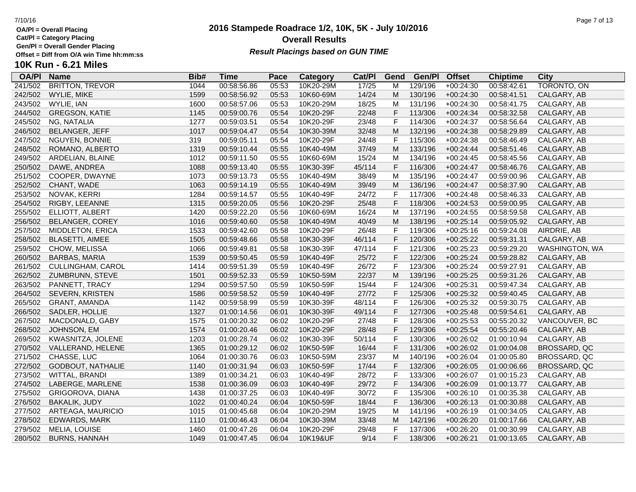**Cat/Pl = Category Placing**

**Gen/Pl = Overall Gender Placing**

**10K Run - 6.21 Miles**

## **2016 Stampede Roadrace 1/2, 10K, 5K - July 10/2016** 7/10/16 Page 7 of 13 **Overall Results** Gen/PI = Overall Gender Placing<br>Offset = Diff from O/A win Time hh:mm:ss *Result Placings based on GUN TIME*

| <b>Name</b>             | Bib#                              | <b>Time</b> | Pace  | <b>Category</b> | Cat/PI    | Gend  | Gen/Pl  | <b>Offset</b> | <b>Chiptime</b> | City           |
|-------------------------|-----------------------------------|-------------|-------|-----------------|-----------|-------|---------|---------------|-----------------|----------------|
| <b>BRITTON, TREVOR</b>  | 1044                              | 00:58:56.86 | 05:53 | 10K20-29M       | 17/25     | М     | 129/196 | $+00:24:30$   | 00:58:42.61     | TORONTO, ON    |
| WYLIE, MIKE             | 1599                              | 00:58:56.92 | 05:53 | 10K60-69M       | 14/24     | M     | 130/196 | $+00:24:30$   | 00:58:41.51     | CALGARY, AB    |
| WYLIE, IAN              | 1600                              | 00:58:57.06 | 05:53 | 10K20-29M       | 18/25     | M     | 131/196 | $+00:24:30$   | 00:58:41.75     | CALGARY, AB    |
| <b>GREGSON, KATIE</b>   |                                   | 00:59:00.76 | 05:54 | 10K20-29F       | 22/48     | F     | 113/306 | $+00:24:34$   | 00:58:32.58     | CALGARY, AB    |
| NG, NATALIA             | 1277                              | 00:59:03.51 | 05:54 | 10K20-29F       | 23/48     | F     | 114/306 | $+00:24:37$   | 00:58:56.64     | CALGARY, AB    |
| BELANGER, JEFF          | 1017                              | 00:59:04.47 | 05:54 | 10K30-39M       | 32/48     | M     | 132/196 | $+00:24:38$   | 00:58:29.89     | CALGARY, AB    |
| NGUYEN, BONNIE          | 319                               | 00:59:05.11 | 05:54 | 10K20-29F       | 24/48     | F     | 115/306 | $+00:24:38$   | 00:58:46.49     | CALGARY, AB    |
| ROMANO, ALBERTO         | 1319                              | 00:59:10.44 | 05:55 | 10K40-49M       | 37/49     | M     | 133/196 | $+00:24:44$   | 00:58:51.46     | CALGARY, AB    |
| ARDELIAN, BLAINE        | 1012                              | 00:59:11.50 | 05:55 |                 | 15/24     | M     | 134/196 | $+00:24:45$   | 00:58:45.56     | CALGARY, AB    |
| DAWE, ANDREA            | 1088                              | 00:59:13.40 | 05:55 | 10K30-39F       | 45/114    | F     |         |               | 00:58:46.76     | CALGARY, AB    |
| COOPER, DWAYNE          | 1073                              | 00:59:13.73 | 05:55 | 10K40-49M       | 38/49     | M     | 135/196 | $+00:24:47$   | 00:59:00.96     | CALGARY, AB    |
| CHANT, WADE             | 1063                              | 00:59:14.19 | 05:55 | 10K40-49M       | 39/49     | M     | 136/196 | $+00:24:47$   | 00:58:37.90     | CALGARY, AB    |
| NOVAK, KERRI            | 1284                              | 00:59:14.57 | 05:55 | 10K40-49F       | 24/72     | F     | 117/306 | $+00:24:48$   | 00:58:46.33     | CALGARY, AB    |
| RIGBY, LEEANNE          | 1315                              | 00:59:20.05 | 05:56 | 10K20-29F       | 25/48     | F     | 118/306 | $+00:24:53$   | 00:59:00.95     | CALGARY, AB    |
| ELLIOTT, ALBERT         | 1420                              | 00:59:22.20 | 05:56 | 10K60-69M       | 16/24     | M     | 137/196 | $+00:24:55$   | 00:58:59.58     | CALGARY, AB    |
| <b>BELANGER, COREY</b>  | 1016                              | 00:59:40.60 | 05:58 | 10K40-49M       |           | M     | 138/196 | $+00:25:14$   | 00:59:05.92     | CALGARY, AB    |
| <b>MIDDLETON, ERICA</b> | 1533                              | 00:59:42.60 | 05:58 | 10K20-29F       | 26/48     | F     | 119/306 | $+00:25:16$   | 00:59:24.08     | AIRDRIE, AB    |
| <b>BLASETTI, AIMEE</b>  | 1505                              | 00:59:48.66 | 05:58 | 10K30-39F       | 46/114    | F     | 120/306 | $+00:25:22$   | 00:59:31.31     | CALGARY, AB    |
| CHOW, MELISSA           | 1066                              | 00:59:49.81 | 05:58 | 10K30-39F       | 47/114    | F     | 121/306 | $+00:25:23$   | 00:59:29.20     | WASHINGTON, WA |
| <b>BARBAS, MARIA</b>    | 1539                              | 00:59:50.45 | 05:59 | 10K40-49F       | 25/72     | F     | 122/306 | $+00:25:24$   | 00:59:28.82     | CALGARY, AB    |
| CULLINGHAM, CAROL       | 1414                              | 00:59:51.39 | 05:59 | 10K40-49F       | 26/72     | F     | 123/306 | $+00:25:24$   | 00:59:27.91     | CALGARY, AB    |
|                         | 1501                              | 00:59:52.33 | 05:59 | 10K50-59M       | 22/37     | M     | 139/196 | $+00:25:25$   | 00:59:31.26     | CALGARY, AB    |
|                         | 1294                              | 00:59:57.50 | 05:59 | 10K50-59F       | 15/44     | F     | 124/306 | $+00:25:31$   | 00:59:47.34     | CALGARY, AB    |
| SEVERN, KRISTEN         | 1586                              | 00:59:58.52 | 05:59 | 10K40-49F       | 27/72     | F     | 125/306 | $+00:25:32$   | 00:59:40.45     | CALGARY, AB    |
| <b>GRANT, AMANDA</b>    | 1142                              | 00:59:58.99 | 05:59 | 10K30-39F       | 48/114    | F     | 126/306 | $+00:25:32$   | 00:59:30.75     | CALGARY, AB    |
| SADLER, HOLLIE          | 1327                              | 01:00:14.56 | 06:01 | 10K30-39F       | 49/114    |       | 127/306 | $+00:25:48$   | 00:59:54.61     | CALGARY, AB    |
| MACDONALD, GABY         | 1575                              | 01:00:20.32 | 06:02 | 10K20-29F       | 27/48     | F     | 128/306 | $+00:25:53$   | 00:55:20.32     | VANCOUVER, BC  |
| JOHNSON, EM             | 1574                              | 01:00:20.46 | 06:02 | 10K20-29F       | 28/48     | F     | 129/306 | $+00:25:54$   | 00:55:20.46     | CALGARY, AB    |
| KWASNITZA, JOLENE       | 1203                              | 01:00:28.74 | 06:02 | 10K30-39F       | 50/114    | F     | 130/306 | $+00:26:02$   | 01:00:10.94     | CALGARY, AB    |
| VALLERAND, HELENE       | 1365                              | 01:00:29.12 | 06:02 | 10K50-59F       | 16/44     | F     | 131/306 | $+00:26:02$   | 01:00:04.08     | BROSSARD, QC   |
| CHASSE, LUC             | 1064                              | 01:00:30.76 | 06:03 | 10K50-59M       | 23/37     | м     | 140/196 | $+00:26:04$   | 01:00:05.80     | BROSSARD, QC   |
| GODBOUT, NATHALIE       | 1140                              | 01:00:31.94 | 06:03 | 10K50-59F       | 17/44     | F     | 132/306 | $+00:26:05$   | 01:00:06.66     | BROSSARD, QC   |
| WITTAL, BRANDI          | 1389                              | 01:00:34.21 | 06:03 | 10K40-49F       | 28/72     | F     | 133/306 | $+00:26:07$   | 01:00:15.23     | CALGARY, AB    |
| LABERGE, MARLENE        | 1538                              | 01:00:36.09 | 06:03 | 10K40-49F       | 29/72     | F     | 134/306 | $+00:26:09$   | 01:00:13.77     | CALGARY, AB    |
| GRIGOROVA, DIANA        | 1438                              | 01:00:37.25 | 06:03 | 10K40-49F       | 30/72     | F     | 135/306 | $+00:26:10$   | 01:00:35.38     | CALGARY, AB    |
| <b>BAKALIK, JUDY</b>    | 1022                              | 01:00:40.24 | 06:04 | 10K50-59F       | 18/44     | F     | 136/306 | $+00:26:13$   | 01:00:30.88     | CALGARY, AB    |
| ARTEAGA, MAURICIO       | 1015                              | 01:00:45.68 | 06:04 | 10K20-29M       | 19/25     | м     | 141/196 | $+00:26:19$   | 01:00:34.05     | CALGARY, AB    |
| EDWARDS, MARK           | 1110                              | 01:00:46.43 | 06:04 | 10K30-39M       | 33/48     | M     | 142/196 | $+00:26:20$   | 01:00:17.66     | CALGARY, AB    |
| MELIA, LOUISE           | 1460                              | 01:00:47.26 | 06:04 | 10K20-29F       | 29/48     | F     | 137/306 | $+00:26:20$   | 01:00:30.99     | CALGARY, AB    |
| <b>BURNS, HANNAH</b>    | 1049                              | 01:00:47.45 | 06:04 | 10K19&UF        | 9/14      | F     | 138/306 | $+00:26:21$   | 01:00:13.65     | CALGARY, AB    |
|                         | ZUMBRUNN, STEVE<br>PANNETT, TRACY | 1145        |       |                 | 10K60-69M | 40/49 | F       | 116/306       | $+00:24:47$     |                |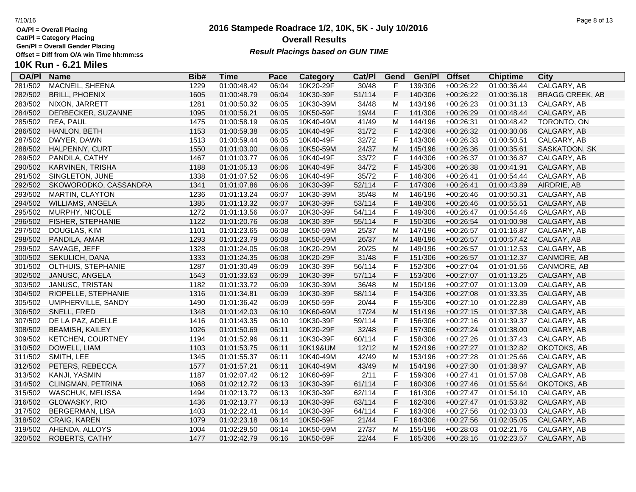**Cat/Pl = Category Placing**

**Gen/Pl = Overall Gender Placing**

**10K Run - 6.21 Miles**

| <b>OA/PI</b> | <b>Name</b>              | Bib# | Time        | Pace  | Category  | Cat/PI | Gend | Gen/Pl  | <b>Offset</b> | <b>Chiptime</b> | City                   |
|--------------|--------------------------|------|-------------|-------|-----------|--------|------|---------|---------------|-----------------|------------------------|
| 281/502      | <b>MACNEIL, SHEENA</b>   | 1229 | 01:00:48.42 | 06:04 | 10K20-29F | 30/48  | F    | 139/306 | $+00:26:22$   | 01:00:36.44     | CALGARY, AB            |
| 282/502      | <b>BRILL, PHOENIX</b>    | 1605 | 01:00:48.79 | 06:04 | 10K30-39F | 51/114 | F    | 140/306 | $+00:26:22$   | 01:00:36.18     | <b>BRAGG CREEK, AB</b> |
| 283/502      | NIXON, JARRETT           | 1281 | 01:00:50.32 | 06:05 | 10K30-39M | 34/48  | M    | 143/196 | $+00:26:23$   | 01:00:31.13     | CALGARY, AB            |
| 284/502      | DERBECKER, SUZANNE       | 1095 | 01:00:56.21 | 06:05 | 10K50-59F | 19/44  | F    | 141/306 | $+00:26:29$   | 01:00:48.44     | CALGARY, AB            |
| 285/502      | REA, PAUL                | 1475 | 01:00:58.19 | 06:05 | 10K40-49M | 41/49  | M    | 144/196 | $+00:26:31$   | 01:00:48.42     | TORONTO, ON            |
| 286/502      | HANLON, BETH             | 1153 | 01:00:59.38 | 06:05 | 10K40-49F | 31/72  | F    | 142/306 | $+00:26:32$   | 01:00:30.06     | CALGARY, AB            |
| 287/502      | DWYER, DAWN              | 1513 | 01:00:59.44 | 06:05 | 10K40-49F | 32/72  | F    | 143/306 | $+00:26:33$   | 01:00:50.51     | CALGARY, AB            |
| 288/502      | HALPENNY, CURT           | 1550 | 01:01:03.00 | 06:06 | 10K50-59M | 24/37  | M    | 145/196 | $+00:26:36$   | 01:00:35.61     | SASKATOON, SK          |
| 289/502      | PANDILA, CATHY           | 1467 | 01:01:03.77 | 06:06 | 10K40-49F | 33/72  | F    | 144/306 | $+00:26:37$   | 01:00:36.87     | CALGARY, AB            |
| 290/502      | KARVINEN, TRISHA         | 1188 | 01:01:05.13 | 06:06 | 10K40-49F | 34/72  | F    | 145/306 | $+00:26:38$   | 01:00:41.91     | CALGARY, AB            |
| 291/502      | SINGLETON, JUNE          | 1338 | 01:01:07.52 | 06:06 | 10K40-49F | 35/72  | F    | 146/306 | $+00:26:41$   | 01:00:54.44     | CALGARY, AB            |
| 292/502      | SKOWORODKO, CASSANDRA    | 1341 | 01:01:07.86 | 06:06 | 10K30-39F | 52/114 | F    | 147/306 | $+00:26:41$   | 01:00:43.89     | AIRDRIE, AB            |
| 293/502      | <b>MARTIN, CLAYTON</b>   | 1236 | 01:01:13.24 | 06:07 | 10K30-39M | 35/48  | M    | 146/196 | $+00:26:46$   | 01:00:50.31     | CALGARY, AB            |
| 294/502      | WILLIAMS, ANGELA         | 1385 | 01:01:13.32 | 06:07 | 10K30-39F | 53/114 | F    | 148/306 | $+00:26:46$   | 01:00:55.51     | CALGARY, AB            |
| 295/502      | MURPHY, NICOLE           | 1272 | 01:01:13.56 | 06:07 | 10K30-39F | 54/114 | F    | 149/306 | $+00:26:47$   | 01:00:54.46     | CALGARY, AB            |
| 296/502      | FISHER, STEPHANIE        | 1122 | 01:01:20.76 | 06:08 | 10K30-39F | 55/114 | F    | 150/306 | $+00:26:54$   | 01:01:00.98     | CALGARY, AB            |
| 297/502      | DOUGLAS, KIM             | 1101 | 01:01:23.65 | 06:08 | 10K50-59M | 25/37  | М    | 147/196 | $+00:26:57$   | 01:01:16.87     | CALGARY, AB            |
| 298/502      | PANDILA, AMAR            | 1293 | 01:01:23.79 | 06:08 | 10K50-59M | 26/37  | M    | 148/196 | $+00:26:57$   | 01:00:57.42     | CALGAY, AB             |
| 299/502      | SAVAGE, JEFF             | 1328 | 01:01:24.05 | 06:08 | 10K20-29M | 20/25  | м    | 149/196 | $+00:26:57$   | 01:01:12.53     | CALGARY, AB            |
| 300/502      | SEKULICH, DANA           | 1333 | 01:01:24.35 | 06:08 | 10K20-29F | 31/48  | F    | 151/306 | $+00:26:57$   | 01:01:12.37     | CANMORE, AB            |
| 301/502      | OLTHUIS, STEPHANIE       | 1287 | 01:01:30.49 | 06:09 | 10K30-39F | 56/114 | F    | 152/306 | $+00:27:04$   | 01:01:01.56     | CANMORE, AB            |
| 302/502      | JANUSC, ANGELA           | 1543 | 01:01:33.63 | 06:09 | 10K30-39F | 57/114 | F    | 153/306 | $+00:27:07$   | 01:01:13.25     | CALGARY, AB            |
| 303/502      | JANUSC, TRISTAN          | 1182 | 01:01:33.72 | 06:09 | 10K30-39M | 36/48  | м    | 150/196 | $+00:27:07$   | 01:01:13.09     | CALGARY, AB            |
| 304/502      | RIOPELLE, STEPHANIE      | 1316 | 01:01:34.81 | 06:09 | 10K30-39F | 58/114 | F    | 154/306 | $+00:27:08$   | 01:01:33.35     | CALGARY, AB            |
| 305/502      | UMPHERVILLE, SANDY       | 1490 | 01:01:36.42 | 06:09 | 10K50-59F | 20/44  | F    | 155/306 | $+00:27:10$   | 01:01:22.89     | CALGARY, AB            |
| 306/502      | SNELL, FRED              | 1348 | 01:01:42.03 | 06:10 | 10K60-69M | 17/24  | M    | 151/196 | $+00:27:15$   | 01:01:37.38     | CALGARY, AB            |
| 307/502      | DE LA PAZ, ADELLE        | 1416 | 01:01:43.35 | 06:10 | 10K30-39F | 59/114 | F    | 156/306 | $+00:27:16$   | 01:01:39.37     | CALGARY, AB            |
| 308/502      | <b>BEAMISH, KAILEY</b>   | 1026 | 01:01:50.69 | 06:11 | 10K20-29F | 32/48  | F    | 157/306 | $+00:27:24$   | 01:01:38.00     | CALGARY, AB            |
| 309/502      | <b>KETCHEN, COURTNEY</b> | 1194 | 01:01:52.96 | 06:11 | 10K30-39F | 60/114 | F    | 158/306 | $+00:27:26$   | 01:01:37.43     | CALGARY, AB            |
| 310/502      | DOWELL, LIAM             | 1103 | 01:01:53.75 | 06:11 | 10K19&UM  | 12/12  | M    | 152/196 | $+00:27:27$   | 01:01:32.82     | OKOTOKS, AB            |
| 311/502      | SMITH, LEE               | 1345 | 01:01:55.37 | 06:11 | 10K40-49M | 42/49  | M    | 153/196 | $+00:27:28$   | 01:01:25.66     | CALGARY, AB            |
| 312/502      | PETERS, REBECCA          | 1577 | 01:01:57.21 | 06:11 | 10K40-49M | 43/49  | M    | 154/196 | $+00:27:30$   | 01:01:38.97     | CALGARY, AB            |
| 313/502      | KANJI, YASMIN            | 1187 | 01:02:07.42 | 06:12 | 10K60-69F | 2/11   | F    | 159/306 | $+00:27:41$   | 01:01:57.08     | CALGARY, AB            |
| 314/502      | CLINGMAN, PETRINA        | 1068 | 01:02:12.72 | 06:13 | 10K30-39F | 61/114 | F    | 160/306 | $+00:27:46$   | 01:01:55.64     | OKOTOKS, AB            |
| 315/502      | WASCHUK, MELISSA         | 1494 | 01:02:13.72 | 06:13 | 10K30-39F | 62/114 | F    | 161/306 | $+00:27:47$   | 01:01:54.10     | CALGARY, AB            |
| 316/502      | GLOWASKY, RIO            | 1436 | 01:02:13.77 | 06:13 | 10K30-39F | 63/114 | F    | 162/306 | $+00:27:47$   | 01:01:53.82     | CALGARY, AB            |
| 317/502      | BERGERMAN, LISA          | 1403 | 01:02:22.41 | 06:14 | 10K30-39F | 64/114 | F    | 163/306 | $+00:27:56$   | 01:02:03.03     | CALGARY, AB            |
| 318/502      | CRAIG, KAREN             | 1079 | 01:02:23.18 | 06:14 | 10K50-59F | 21/44  | F    | 164/306 | $+00:27:56$   | 01:02:05.05     | CALGARY, AB            |
| 319/502      | AHENDA, ALLOYS           | 1004 | 01:02:29.50 | 06:14 | 10K50-59M | 27/37  | M    | 155/196 | $+00:28:03$   | 01:02:21.76     | CALGARY, AB            |
| 320/502      | ROBERTS, CATHY           | 1477 | 01:02:42.79 | 06:16 | 10K50-59F | 22/44  | F    | 165/306 | $+00:28:16$   | 01:02:23.57     | CALGARY, AB            |
|              |                          |      |             |       |           |        |      |         |               |                 |                        |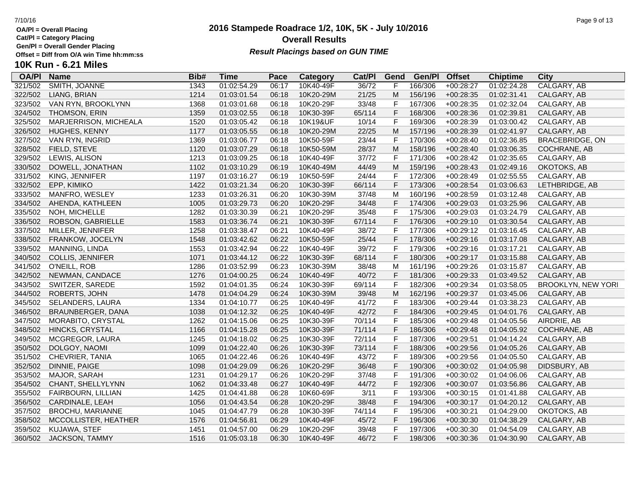**OA/Pl = Overall Placing Cat/Pl = Category Placing**

**Gen/Pl = Overall Gender Placing**

# **10K Run - 6.21 Miles**

| <b>OA/PI</b> | <b>Name</b>             | Bib# | Time        | Pace  | <b>Category</b> | Cat/PI | Gend         | Gen/Pl  | <b>Offset</b> | <b>Chiptime</b> | City                      |
|--------------|-------------------------|------|-------------|-------|-----------------|--------|--------------|---------|---------------|-----------------|---------------------------|
| 321/502      | SMITH, JOANNE           | 1343 | 01:02:54.29 | 06:17 | 10K40-49F       | 36/72  |              | 166/306 | $+00:28:27$   | 01:02:24.28     | CALGARY, AB               |
| 322/502      | LIANG, BRIAN            | 1214 | 01:03:01.54 | 06:18 | 10K20-29M       | 21/25  | M            | 156/196 | $+00:28:35$   | 01:02:31.41     | CALGARY, AB               |
| 323/502      | VAN RYN, BROOKLYNN      | 1368 | 01:03:01.68 | 06:18 | 10K20-29F       | 33/48  | F            | 167/306 | $+00:28:35$   | 01:02:32.04     | CALGARY, AB               |
| 324/502      | THOMSON, ERIN           | 1359 | 01:03:02.55 | 06:18 | 10K30-39F       | 65/114 | $\mathsf{F}$ | 168/306 | $+00:28:36$   | 01:02:39.81     | CALGARY, AB               |
| 325/502      | MARJERRISON, MICHEALA   | 1520 | 01:03:05.42 | 06:18 | 10K19&UF        | 10/14  | $\mathsf F$  | 169/306 | $+00:28:39$   | 01:03:00.42     | CALGARY, AB               |
| 326/502      | HUGHES, KENNY           | 1177 | 01:03:05.55 | 06:18 | 10K20-29M       | 22/25  | M            | 157/196 | $+00:28:39$   | 01:02:41.97     | CALGARY, AB               |
| 327/502      | VAN RYN, INGRID         | 1369 | 01:03:06.77 | 06:18 | 10K50-59F       | 23/44  | $\mathsf F$  | 170/306 | $+00:28:40$   | 01:02:36.85     | <b>BRACEBRIDGE, ON</b>    |
| 328/502      | FIELD, STEVE            | 1120 | 01:03:07.29 | 06:18 | 10K50-59M       | 28/37  | M            | 158/196 | $+00:28:40$   | 01:03:06.35     | COCHRANE, AB              |
| 329/502      | LEWIS, ALISON           | 1213 | 01:03:09.25 | 06:18 | 10K40-49F       | 37/72  | $\mathsf F$  | 171/306 | $+00:28:42$   | 01:02:35.65     | CALGARY, AB               |
| 330/502      | DOWELL, JONATHAN        | 1102 | 01:03:10.29 | 06:19 | 10K40-49M       | 44/49  | M            | 159/196 | $+00:28:43$   | 01:02:49.16     | OKOTOKS, AB               |
| 331/502      | KING, JENNIFER          | 1197 | 01:03:16.27 | 06:19 | 10K50-59F       | 24/44  | F            | 172/306 | $+00:28:49$   | 01:02:55.55     | CALGARY, AB               |
| 332/502      | EPP, KIMIKO             | 1422 | 01:03:21.34 | 06:20 | 10K30-39F       | 66/114 | $\mathsf F$  | 173/306 | $+00:28:54$   | 01:03:06.63     | LETHBRIDGE, AB            |
| 333/502      | MANFRO, WESLEY          | 1233 | 01:03:26.31 | 06:20 | 10K30-39M       | 37/48  | M            | 160/196 | $+00:28:59$   | 01:03:12.48     | CALGARY, AB               |
| 334/502      | AHENDA, KATHLEEN        | 1005 | 01:03:29.73 | 06:20 | 10K20-29F       | 34/48  | F            | 174/306 | $+00:29:03$   | 01:03:25.96     | CALGARY, AB               |
| 335/502      | NOH, MICHELLE           | 1282 | 01:03:30.39 | 06:21 | 10K20-29F       | 35/48  | $\mathsf F$  | 175/306 | $+00:29:03$   | 01:03:24.79     | CALGARY, AB               |
| 336/502      | ROBSON, GABRIELLE       | 1583 | 01:03:36.74 | 06:21 | 10K30-39F       | 67/114 | $\mathsf{F}$ | 176/306 | $+00:29:10$   | 01:03:30.54     | CALGARY, AB               |
| 337/502      | MILLER, JENNIFER        | 1258 | 01:03:38.47 | 06:21 | 10K40-49F       | 38/72  | $\mathsf{F}$ | 177/306 | $+00:29:12$   | 01:03:16.45     | CALGARY, AB               |
| 338/502      | FRANKOW, JOCELYN        | 1548 | 01:03:42.62 | 06:22 | 10K50-59F       | 25/44  | $\mathsf F$  | 178/306 | $+00:29:16$   | 01:03:17.08     | CALGARY, AB               |
| 339/502      | MANNING, LINDA          | 1553 | 01:03:42.94 | 06:22 | 10K40-49F       | 39/72  | $\mathsf{F}$ | 179/306 | $+00:29:16$   | 01:03:17.21     | CALGARY, AB               |
| 340/502      | <b>COLLIS, JENNIFER</b> | 1071 | 01:03:44.12 | 06:22 | 10K30-39F       | 68/114 | $\mathsf F$  | 180/306 | $+00:29:17$   | 01:03:15.88     | CALGARY, AB               |
| 341/502      | O'NEILL, ROB            | 1286 | 01:03:52.99 | 06:23 | 10K30-39M       | 38/48  | M            | 161/196 | $+00:29:26$   | 01:03:15.87     | CALGARY, AB               |
| 342/502      | NEWMAN, CANDACE         | 1276 | 01:04:00.25 | 06:24 | 10K40-49F       | 40/72  | F            | 181/306 | $+00:29:33$   | 01:03:49.52     | CALGARY, AB               |
| 343/502      | SWITZER, SAREDE         | 1592 | 01:04:01.35 | 06:24 | 10K30-39F       | 69/114 | $\mathsf{F}$ | 182/306 | $+00:29:34$   | 01:03:58.05     | <b>BROOKLYN, NEW YORI</b> |
| 344/502      | ROBERTS, JOHN           | 1478 | 01:04:04.29 | 06:24 | 10K30-39M       | 39/48  | M            | 162/196 | $+00:29:37$   | 01:03:45.06     | CALGARY, AB               |
| 345/502      | <b>SELANDERS, LAURA</b> | 1334 | 01:04:10.77 | 06:25 | 10K40-49F       | 41/72  | $\mathsf{F}$ | 183/306 | $+00:29:44$   | 01:03:38.23     | CALGARY, AB               |
| 346/502      | BRAUNBERGER, DANA       | 1038 | 01:04:12.32 | 06:25 | 10K40-49F       | 42/72  | F            | 184/306 | $+00:29:45$   | 01:04:01.76     | CALGARY, AB               |
| 347/502      | MORABITO, CRYSTAL       | 1262 | 01:04:15.06 | 06:25 | 10K30-39F       | 70/114 | $\mathsf{F}$ | 185/306 | $+00:29:48$   | 01:04:05.56     | AIRDRIE, AB               |
| 348/502      | HINCKS, CRYSTAL         | 1166 | 01:04:15.28 | 06:25 | 10K30-39F       | 71/114 | $\mathsf{F}$ | 186/306 | $+00:29:48$   | 01:04:05.92     | COCHRANE, AB              |
| 349/502      | MCGREGOR, LAURA         | 1245 | 01:04:18.02 | 06:25 | 10K30-39F       | 72/114 | F            | 187/306 | $+00:29:51$   | 01:04:14.24     | CALGARY, AB               |
| 350/502      | DOLGOY, NAOMI           | 1099 | 01:04:22.40 | 06:26 | 10K30-39F       | 73/114 | F            | 188/306 | $+00:29:56$   | 01:04:05.26     | CALGARY, AB               |
| 351/502      | CHEVRIER, TANIA         | 1065 | 01:04:22.46 | 06:26 | 10K40-49F       | 43/72  | $\mathsf{F}$ | 189/306 | $+00:29:56$   | 01:04:05.50     | CALGARY, AB               |
| 352/502      | DINNIE, PAIGE           | 1098 | 01:04:29.09 | 06:26 | 10K20-29F       | 36/48  | $\mathsf F$  | 190/306 | $+00:30:02$   | 01:04:05.98     | DIDSBURY, AB              |
| 353/502      | MAJOR, SARAH            | 1231 | 01:04:29.17 | 06:26 | 10K20-29F       | 37/48  | $\mathsf F$  | 191/306 | $+00:30:02$   | 01:04:06.06     | CALGARY, AB               |
| 354/502      | CHANT, SHELLYLYNN       | 1062 | 01:04:33.48 | 06:27 | 10K40-49F       | 44/72  | $\mathsf{F}$ | 192/306 | $+00:30:07$   | 01:03:56.86     | CALGARY, AB               |
| 355/502      | FAIRBOURN, LILLIAN      | 1425 | 01:04:41.88 | 06:28 | 10K60-69F       | 3/11   | $\mathsf F$  | 193/306 | $+00:30:15$   | 01:01:41.88     | CALGARY, AB               |
| 356/502      | CARDINALE, LEAH         | 1056 | 01:04:43.54 | 06:28 | 10K20-29F       | 38/48  | F            | 194/306 | $+00:30:17$   | 01:04:20.12     | CALGARY, AB               |
| 357/502      | <b>BROCHU, MARIANNE</b> | 1045 | 01:04:47.79 | 06:28 | 10K30-39F       | 74/114 | $\mathsf{F}$ | 195/306 | $+00:30:21$   | 01:04:29.00     | OKOTOKS, AB               |
| 358/502      | MCCOLLISTER, HEATHER    | 1576 | 01:04:56.81 | 06:29 | 10K40-49F       | 45/72  | F            | 196/306 | $+00:30:30$   | 01:04:38.29     | CALGARY, AB               |
| 359/502      | KUJAWA, STEF            | 1451 | 01:04:57.00 | 06:29 | 10K20-29F       | 39/48  | F            | 197/306 | $+00:30:30$   | 01:04:54.09     | CALGARY, AB               |
| 360/502      | <b>JACKSON, TAMMY</b>   | 1516 | 01:05:03.18 | 06:30 | 10K40-49F       | 46/72  | F            | 198/306 | $+00:30:36$   | 01:04:30.90     | CALGARY, AB               |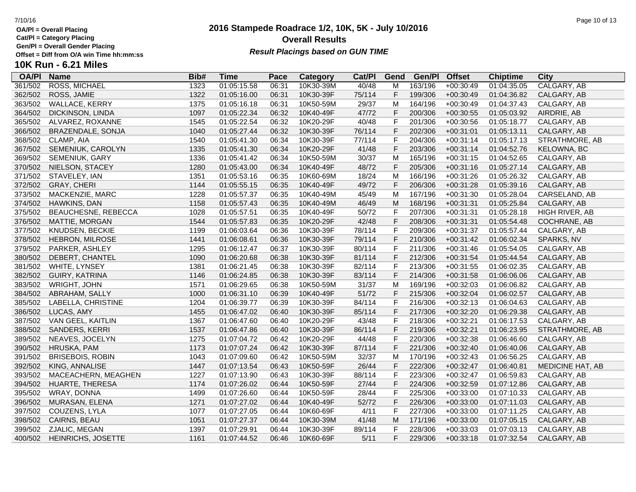**Cat/Pl = Category Placing**

**Gen/Pl = Overall Gender Placing**

**10K Run - 6.21 Miles**

## **OA/Pl Name Bib# Time Category Cat/Pl Gen/Pl Pace Category Cat/PI Gend Gen/PI Offset Chiptime City**<br>06:31 10K30-39M 40/48 M 163/196 +00:30:49 01:04:35.05 CALGARY. AB 361/502 ROSS, MICHAEL 1323 01:05:15.58 06:31 10K30-39M 40/48 M 163/196 +00:30:49 01:04:35.05 CALGARY, AB 362/502 ROSS, JAMIE 1322 01:05:16.00 06:31 10K30-39F 75/114 F 199/306 +00:30:49 01:04:36.82 CALGARY, AB 363/502 WALLACE, KERRY 1375 01:05:16.18 06:31 10K50-59M 29/37 M 164/196 +00:30:49 01:04:37.43 CALGARY, AB 364/502 DICKINSON, LINDA 1097 01:05:22.34 06:32 10K40-49F 47/72 F 200/306 +00:30:55 01:05:03.92 AIRDRIE, AB 365/502 ALVAREZ, ROXANNE 1545 01:05:22.54 06:32 10K20-29F 40/48 F 201/306 +00:30:56 01:05:18.77 CALGARY, AB 366/502 BRAZENDALE, SONJA 1040 01:05:27.44 06:32 10K30-39F 76/114 F 202/306 +00:31:01 01:05:13.11 CALGARY, AB 368/502 CLAMP, AIA 1540 01:05:41.30 06:34 10K30-39F 77/114 F 204/306 +00:31:14 01:05:17.13 STRATHMORE, AB 367/502 SEMENIUK, CAROLYN 1335 01:05:41.30 06:34 10K20-29F 41/48 F 203/306 +00:31:14 01:04:52.76 KELOWNA, BC 369/502 SEMENIUK, GARY 1336 01:05:41.42 06:34 10K50-59M 30/37 M 165/196 +00:31:15 01:04:52.65 CALGARY, AB 370/502 NIELSON, STACEY 1280 01:05:43.00 06:34 10K40-49F 48/72 F 205/306 +00:31:16 01:05:27.14 CALGARY, AB 371/502 STAVELEY, IAN 1351 01:05:53.16 06:35 10K60-69M 18/24 M 166/196 +00:31:26 01:05:26.32 CALGARY, AB 372/502 GRAY, CHERI 1144 01:05:55.15 06:35 10K40-49F 49/72 F 206/306 +00:31:28 01:05:39.16 CALGARY, AB 373/502 MACKENZIE, MARC 1228 01:05:57.37 06:35 10K40-49M 45/49 M 167/196 +00:31:30 01:05:28.04 CARSELAND, AB 374/502 HAWKINS, DAN 1158 01:05:57.43 06:35 10K40-49M 46/49 M 168/196 +00:31:31 01:05:25.84 CALGARY, AB 375/502 BEAUCHESNE, REBECCA 1028 01:05:57.51 06:35 10K40-49F 50/72 F 207/306 +00:31:31 01:05:28.18 HIGH RIVER, AB 376/502 MATTIE, MORGAN 1544 01:05:57.83 06:35 10K20-29F 42/48 F 208/306 +00:31:31 01:05:54.48 COCHRANE, AB 377/502 KNUDSEN, BECKIE 1199 01:06:03.64 06:36 10K30-39F 78/114 F 209/306 +00:31:37 01:05:57.44 CALGARY, AB 378/502 HEBRON, MILROSE 1441 01:06:08.61 06:36 10K30-39F 79/114 F 210/306 +00:31:42 01:06:02.34 SPARKS, NV 379/502 PARKER, ASHLEY 1295 01:06:12.47 06:37 10K30-39F 80/114 F 211/306 +00:31:46 01:05:54.05 CALGARY, AB 380/502 DEBERT, CHANTEL 1090 01:06:20.68 06:38 10K30-39F 81/114 F 212/306 +00:31:54 01:05:44.54 CALGARY, AB 381/502 WHITE, LYNSEY 1381 01:06:21.45 06:38 10K30-39F 82/114 F 213/306 +00:31:55 01:06:02.35 CALGARY, AB 382/502 GUIRY, KATRINA 1146 01:06:24.85 06:38 10K30-39F 83/114 F 214/306 +00:31:58 01:06:06.06 CALGARY, AB 383/502 WRIGHT, JOHN 1571 01:06:29.65 06:38 10K50-59M 31/37 M 169/196 +00:32:03 01:06:06.82 CALGARY, AB 384/502 ABRAHAM, SALLY 1000 01:06:31.10 06:39 10K40-49F 51/72 F 215/306 +00:32:04 01:06:02.57 CALGARY, AB 385/502 LABELLA, CHRISTINE 1204 01:06:39.77 06:39 10K30-39F 84/114 F 216/306 +00:32:13 01:06:04.63 CALGARY, AB 386/502 LUCAS, AMY 1455 01:06:47.02 06:40 10K30-39F 85/114 F 217/306 +00:32:20 01:06:29.38 CALGARY, AB 387/502 VAN GEEL, KAITLIN 1367 01:06:47.60 06:40 10K20-29F 43/48 F 218/306 +00:32:21 01:06:17.53 CALGARY, AB 388/502 SANDERS, KERRI 1537 01:06:47.86 06:40 10K30-39F 86/114 F 219/306 +00:32:21 01:06:23.95 STRATHMORE, AB 389/502 NEAVES, JOCELYN 1275 01:07:04.72 06:42 10K20-29F 44/48 F 220/306 +00:32:38 01:06:46.60 CALGARY, AB 390/502 HRUSKA, PAM 1173 01:07:07.24 06:42 10K30-39F 87/114 F 221/306 +00:32:40 01:06:40.06 CALGARY, AB 391/502 BRISEBOIS, ROBIN 1043 01:07:09.60 06:42 10K50-59M 32/37 M 170/196 +00:32:43 01:06:56.25 CALGARY, AB 392/502 KING, ANNALISE 1447 01:07:13.54 06:43 10K50-59F 26/44 F 222/306 +00:32:47 01:06:40.81 MEDICINE HAT, AB 393/502 MACEACHERN, MEAGHEN 1227 01:07:13.90 06:43 10K30-39F 88/114 F 223/306 +00:32:47 01:06:59.83 CALGARY, AB 394/502 HUARTE, THERESA 1174 01:07:26.02 06:44 10K50-59F 27/44 F 224/306 +00:32:59 01:07:12.86 CALGARY, AB 395/502 WRAY, DONNA 1499 01:07:26.60 06:44 10K50-59F 28/44 F 225/306 +00:33:00 01:07:10.33 CALGARY, AB 396/502 MURASAN, ELENA 1271 01:07:27.02 06:44 10K40-49F 52/72 F 226/306 +00:33:00 01:07:11.03 CALGARY, AB 397/502 COUZENS, LYLA 1077 01:07:27.05 06:44 10K60-69F 4/11 F 227/306 +00:33:00 01:07:11.25 CALGARY, AB 398/502 CAIRNS, BEAU 1051 01:07:27.37 06:44 10K30-39M 41/48 M 171/196 +00:33:00 01:07:05.15 CALGARY, AB 399/502 ZJALIC, MEGAN 1397 01:07:29.91 06:44 10K30-39F 89/114 F 228/306 +00:33:03 01:07:03.13 CALGARY, AB 400/502 HEINRICHS, JOSETTE 1161 01:07:44.52 06:46 10K60-69F 5/11 F 229/306 +00:33:18 01:07:32.54 CALGARY, AB

## **2016 Stampede Roadrace 1/2, 10K, 5K - July 10/2016** 7/10/16 Page 10 of 13 **Overall Results Result Placings based on GUN TIME**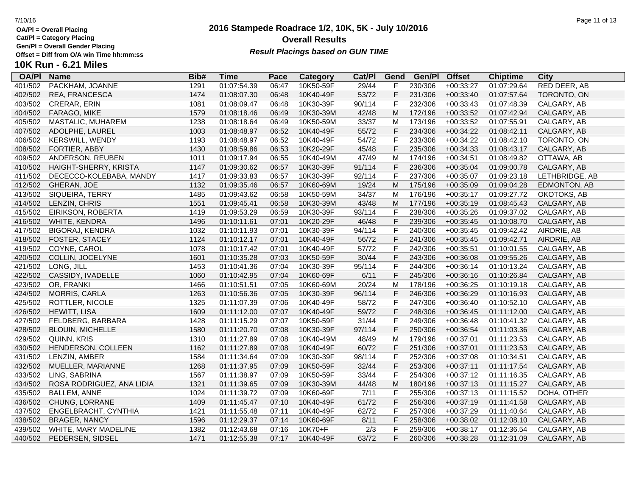**Cat/Pl = Category Placing**

**Gen/Pl = Overall Gender Placing**

# **10K Run - 6.21 Miles**

| <b>OA/PI</b> | <b>Name</b>               | Bib# | <b>Time</b> | Pace  | Category  | Cat/PI | Gend         | Gen/Pl  | <b>Offset</b> | <b>Chiptime</b> | <b>City</b>    |
|--------------|---------------------------|------|-------------|-------|-----------|--------|--------------|---------|---------------|-----------------|----------------|
| 401/502      | PACKHAM, JOANNE           | 1291 | 01:07:54.39 | 06:47 | 10K50-59F | 29/44  | F            | 230/306 | $+00:33:27$   | 01:07:29.64     | RED DEER, AB   |
| 402/502      | REA, FRANCESCA            | 1474 | 01:08:07.30 | 06:48 | 10K40-49F | 53/72  | $\mathsf F$  | 231/306 | $+00:33:40$   | 01:07:57.64     | TORONTO, ON    |
| 403/502      | <b>CRERAR, ERIN</b>       | 1081 | 01:08:09.47 | 06:48 | 10K30-39F | 90/114 | $\mathsf F$  | 232/306 | $+00:33:43$   | 01:07:48.39     | CALGARY, AB    |
| 404/502      | FARAGO, MIKE              | 1579 | 01:08:18.46 | 06:49 | 10K30-39M | 42/48  | M            | 172/196 | $+00:33:52$   | 01:07:42.94     | CALGARY, AB    |
| 405/502      | MASTALIC, MUHAREM         | 1238 | 01:08:18.64 | 06:49 | 10K50-59M | 33/37  | M            | 173/196 | $+00:33:52$   | 01:07:55.91     | CALGARY, AB    |
| 407/502      | ADOLPHE, LAUREL           | 1003 | 01:08:48.97 | 06:52 | 10K40-49F | 55/72  | F            | 234/306 | $+00:34:22$   | 01:08:42.11     | CALGARY, AB    |
| 406/502      | <b>KERSWILL, WENDY</b>    | 1193 | 01:08:48.97 | 06:52 | 10K40-49F | 54/72  | F            | 233/306 | $+00:34:22$   | 01:08:42.10     | TORONTO, ON    |
| 408/502      | FORTIER, ABBY             | 1430 | 01:08:59.86 | 06:53 | 10K20-29F | 45/48  | $\mathsf F$  | 235/306 | $+00:34:33$   | 01:08:43.17     | CALGARY, AB    |
| 409/502      | ANDERSON, REUBEN          | 1011 | 01:09:17.94 | 06:55 | 10K40-49M | 47/49  | M            | 174/196 | $+00:34:51$   | 01:08:49.82     | OTTAWA, AB     |
| 410/502      | HAIGHT-SHERRY, KRISTA     | 1147 | 01:09:30.62 | 06:57 | 10K30-39F | 91/114 | F            | 236/306 | $+00:35:04$   | 01:09:00.78     | CALGARY, AB    |
| 411/502      | DECECCO-KOLEBABA, MANDY   | 1417 | 01:09:33.83 | 06:57 | 10K30-39F | 92/114 | $\mathsf F$  | 237/306 | $+00:35:07$   | 01:09:23.18     | LETHBRIDGE, AB |
| 412/502      | GHERAN, JOE               | 1132 | 01:09:35.46 | 06:57 | 10K60-69M | 19/24  | M            | 175/196 | $+00:35:09$   | 01:09:04.28     | EDMONTON, AB   |
| 413/502      | SIQUEIRA, TERRY           | 1485 | 01:09:43.62 | 06:58 | 10K50-59M | 34/37  | M            | 176/196 | $+00:35:17$   | 01:09:27.72     | OKOTOKS, AB    |
| 414/502      | LENZIN, CHRIS             | 1551 | 01:09:45.41 | 06:58 | 10K30-39M | 43/48  | M            | 177/196 | $+00:35:19$   | 01:08:45.43     | CALGARY, AB    |
| 415/502      | EIRIKSON, ROBERTA         | 1419 | 01:09:53.29 | 06:59 | 10K30-39F | 93/114 | $\mathsf F$  | 238/306 | $+00:35:26$   | 01:09:37.02     | CALGARY, AB    |
| 416/502      | WHITE, KENDRA             | 1496 | 01:10:11.61 | 07:01 | 10K20-29F | 46/48  | $\mathsf F$  | 239/306 | $+00:35:45$   | 01:10:08.70     | CALGARY, AB    |
| 417/502      | <b>BIGORAJ, KENDRA</b>    | 1032 | 01:10:11.93 | 07:01 | 10K30-39F | 94/114 | $\mathsf F$  | 240/306 | $+00:35:45$   | 01:09:42.42     | AIRDRIE, AB    |
| 418/502      | FOSTER, STACEY            | 1124 | 01:10:12.17 | 07:01 | 10K40-49F | 56/72  | $\mathsf F$  | 241/306 | $+00:35:45$   | 01:09:42.71     | AIRDRIE, AB    |
| 419/502      | COYNE, CAROL              | 1078 | 01:10:17.42 | 07:01 | 10K40-49F | 57/72  | F            | 242/306 | $+00:35:51$   | 01:10:01.55     | CALGARY, AB    |
| 420/502      | COLLIN, JOCELYNE          | 1601 | 01:10:35.28 | 07:03 | 10K50-59F | 30/44  | $\mathsf F$  | 243/306 | $+00:36:08$   | 01:09:55.26     | CALGARY, AB    |
| 421/502      | LONG, JILL                | 1453 | 01:10:41.36 | 07:04 | 10K30-39F | 95/114 | F            | 244/306 | $+00:36:14$   | 01:10:13.24     | CALGARY, AB    |
| 422/502      | CASSIDY, IVADELLE         | 1060 | 01:10:42.95 | 07:04 | 10K60-69F | 6/11   | $\mathsf F$  | 245/306 | $+00:36:16$   | 01:10:26.84     | CALGARY, AB    |
| 423/502      | OR, FRANKI                | 1466 | 01:10:51.51 | 07:05 | 10K60-69M | 20/24  | M            | 178/196 | $+00:36:25$   | 01:10:19.18     | CALGARY, AB    |
| 424/502      | <b>MORRIS, CARLA</b>      | 1263 | 01:10:56.36 | 07:05 | 10K30-39F | 96/114 | $\mathsf F$  | 246/306 | $+00:36:29$   | 01:10:16.93     | CALGARY, AB    |
| 425/502      | ROTTLER, NICOLE           | 1325 | 01:11:07.39 | 07:06 | 10K40-49F | 58/72  | $\mathsf F$  | 247/306 | $+00:36:40$   | 01:10:52.10     | CALGARY, AB    |
| 426/502      | <b>HEWITT, LISA</b>       | 1609 | 01:11:12.00 | 07:07 | 10K40-49F | 59/72  | $\mathsf F$  | 248/306 | $+00:36:45$   | 01:11:12.00     | CALGARY, AB    |
| 427/502      | FELDBERG, BARBARA         | 1428 | 01:11:15.29 | 07:07 | 10K50-59F | 31/44  | $\mathsf F$  | 249/306 | $+00:36:48$   | 01:10:41.32     | CALGARY, AB    |
| 428/502      | <b>BLOUIN, MICHELLE</b>   | 1580 | 01:11:20.70 | 07:08 | 10K30-39F | 97/114 | $\mathsf F$  | 250/306 | $+00:36:54$   | 01:11:03.36     | CALGARY, AB    |
| 429/502      | QUINN, KRIS               | 1310 | 01:11:27.89 | 07:08 | 10K40-49M | 48/49  | M            | 179/196 | $+00:37:01$   | 01:11:23.53     | CALGARY, AB    |
| 430/502      | HENDERSON, COLLEEN        | 1162 | 01:11:27.89 | 07:08 | 10K40-49F | 60/72  | $\mathsf F$  | 251/306 | $+00:37:01$   | 01:11:23.53     | CALGARY, AB    |
| 431/502      | LENZIN, AMBER             | 1584 | 01:11:34.64 | 07:09 | 10K30-39F | 98/114 | $\mathsf F$  | 252/306 | $+00:37:08$   | 01:10:34.51     | CALGARY, AB    |
| 432/502      | MUELLER, MARIANNE         | 1268 | 01:11:37.95 | 07:09 | 10K50-59F | 32/44  | $\mathsf F$  | 253/306 | $+00:37:11$   | 01:11:17.54     | CALGARY, AB    |
| 433/502      | LING, SABRINA             | 1567 | 01:11:38.97 | 07:09 | 10K50-59F | 33/44  | $\mathsf{F}$ | 254/306 | $+00:37:12$   | 01:11:16.35     | CALGARY, AB    |
| 434/502      | ROSA RODRIGUEZ, ANA LIDIA | 1321 | 01:11:39.65 | 07:09 | 10K30-39M | 44/48  | M            | 180/196 | $+00:37:13$   | 01:11:15.27     | CALGARY, AB    |
| 435/502      | <b>BALLEM, ANNE</b>       | 1024 | 01:11:39.72 | 07:09 | 10K60-69F | 7/11   | F            | 255/306 | $+00:37:13$   | 01:11:15.52     | DOHA, OTHER    |
| 436/502      | CHUNG, LORRANE            | 1409 | 01:11:45.47 | 07:10 | 10K40-49F | 61/72  | F            | 256/306 | $+00:37:19$   | 01:11:41.58     | CALGARY, AB    |
| 437/502      | ENGELBRACHT, CYNTHIA      | 1421 | 01:11:55.48 | 07:11 | 10K40-49F | 62/72  | $\mathsf F$  | 257/306 | $+00:37:29$   | 01:11:40.64     | CALGARY, AB    |
| 438/502      | <b>BRAGER, NANCY</b>      | 1596 | 01:12:29.37 | 07:14 | 10K60-69F | 8/11   | $\mathsf F$  | 258/306 | $+00:38:02$   | 01:12:08.10     | CALGARY, AB    |
| 439/502      | WHITE, MARY MADELINE      | 1382 | 01:12:43.68 | 07:16 | 10K70+F   | 2/3    | $\mathsf{F}$ | 259/306 | $+00:38:17$   | 01:12:36.54     | CALGARY, AB    |
| 440/502      | PEDERSEN, SIDSEL          | 1471 | 01:12:55.38 | 07:17 | 10K40-49F | 63/72  | F            | 260/306 | $+00:38:28$   | 01:12:31.09     | CALGARY, AB    |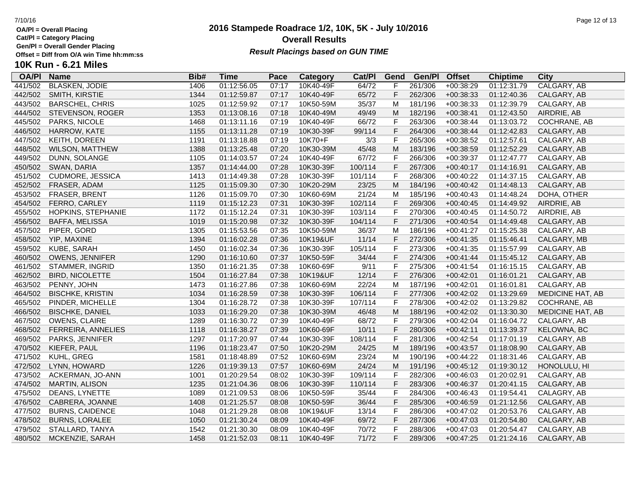**Cat/Pl = Category Placing**

**Gen/Pl = Overall Gender Placing**

**10K Run - 6.21 Miles**

## **OA/Pl Name Bib# Time Category Cat/Pl Gen/Pl Pace Gend Offset Chiptime City** 441/502 BLASKEN, JODIE 1406 01:12:56.05 07:17 10K40-49F 64/72 F 261/306 +00:38:29 01:12:31.79 CALGARY, AB 442/502 SMITH, KIRSTIE 1344 01:12:59.87 07:17 10K40-49F 65/72 F 262/306 +00:38:33 01:12:40.36 CALGARY, AB 443/502 BARSCHEL, CHRIS 1025 01:12:59.92 07:17 10K50-59M 35/37 M 181/196 +00:38:33 01:12:39.79 CALGARY, AB 444/502 STEVENSON, ROGER 1353 01:13:08.16 07:18 10K40-49M 49/49 M 182/196 +00:38:41 01:12:43.50 AIRDRIE, AB 445/502 PARKS, NICOLE 1468 01:13:11.16 07:19 10K40-49F 66/72 F 263/306 +00:38:44 01:13:03.72 COCHRANE, AB 446/502 HARROW, KATE 1155 01:13:11.28 07:19 10K30-39F 99/114 F 264/306 +00:38:44 01:12:42.83 CALGARY, AB 447/502 KEITH, DOREEN 1191 01:13:18.88 07:19 10K70+F 3/3 F 265/306 +00:38:52 01:12:57.61 CALGARY, AB 448/502 WILSON, MATTHEW 1388 01:13:25.48 07:20 10K30-39M 45/48 M 183/196 +00:38:59 01:12:52.29 CALGARY, AB 449/502 DUNN, SOLANGE 1105 01:14:03.57 07:24 10K40-49F 67/72 F 266/306 +00:39:37 01:12:47.77 CALGARY, AB 450/502 SWAN, DARIA 1357 01:14:44.00 07:28 10K30-39F 100/114 F 267/306 +00:40:17 01:14:16.91 CALGARY, AB 451/502 CUDMORE, JESSICA 1413 01:14:49.38 07:28 10K30-39F 101/114 F 268/306 +00:40:22 01:14:37.15 CALGARY, AB 452/502 FRASER, ADAM 1125 01:15:09.30 07:30 10K20-29M 23/25 M 184/196 +00:40:42 01:14:48.13 CALGARY, AB 453/502 FRASER, BRENT 1126 01:15:09.70 07:30 10K60-69M 21/24 M 185/196 +00:40:43 01:14:48.24 DOHA, OTHER 454/502 FERRO, CARLEY 1119 01:15:12.23 07:31 10K30-39F 102/114 F 269/306 +00:40:45 01:14:49.92 AIRDRIE, AB 455/502 HOPKINS, STEPHANIE 1172 01:15:12.24 07:31 10K30-39F 103/114 F 270/306 +00:40:45 01:14:50.72 AIRDRIE, AB 456/502 BAFFA, MELISSA 1019 01:15:20.98 07:32 10K30-39F 104/114 F 271/306 +00:40:54 01:14:49.48 CALGARY, AB 457/502 PIPER, GORD 1305 01:15:53.56 07:35 10K50-59M 36/37 M 186/196 +00:41:27 01:15:25.38 CALGARY, AB 458/502 YIP, MAXINE 1394 01:16:02.28 07:36 10K19&UF 11/14 F 272/306 +00:41:35 01:15:46.41 CALGARY, MB 459/502 KUBE, SARAH 1450 01:16:02.34 07:36 10K30-39F 105/114 F 273/306 +00:41:35 01:15:57.99 CALGARY, AB 460/502 OWENS, JENNIFER 1290 01:16:10.60 07:37 10K50-59F 34/44 F 274/306 +00:41:44 01:15:45.12 CALGARY, AB 461/502 STAMMER, INGRID 1350 01:16:21.35 07:38 10K60-69F 9/11 F 275/306 +00:41:54 01:16:15.15 CALGARY, AB 462/502 BIRD, NICOLETTE 1504 01:16:27.84 07:38 10K19&UF 12/14 F 276/306 +00:42:01 01:16:01.21 CALGARY, AB 463/502 PENNY, JOHN 1473 01:16:27.86 07:38 10K60-69M 22/24 M 187/196 +00:42:01 01:16:01.81 CALGARY, AB 464/502 BISCHKE, KRISTIN 1034 01:16:28.59 07:38 10K30-39F 106/114 F 277/306 +00:42:02 01:13:29.69 MEDICINE HAT, AB 465/502 PINDER, MICHELLE 1304 01:16:28.72 07:38 10K30-39F 107/114 F 278/306 +00:42:02 01:13:29.82 COCHRANE, AB 466/502 BISCHKE, DANIEL 1033 01:16:29.20 07:38 10K30-39M 46/48 M 188/196 +00:42:02 01:13:30.30 MEDICINE HAT, AB 467/502 OWENS, CLAIRE 1289 01:16:30.72 07:39 10K40-49F 68/72 F 279/306 +00:42:04 01:16:04.72 CALGARY, AB 468/502 FERREIRA, ANNELIES 1118 01:16:38.27 07:39 10K60-69F 10/11 F 280/306 +00:42:11 01:13:39.37 KELOWNA, BC 469/502 PARKS, JENNIFER 1297 01:17:20.97 07:44 10K30-39F 108/114 F 281/306 +00:42:54 01:17:01.19 CALGARY, AB 470/502 KIEFER, PAUL 1196 01:18:23.47 07:50 10K20-29M 24/25 M 189/196 +00:43:57 01:18:08.90 CALGARY, AB 471/502 KUHL, GREG 1581 01:18:48.89 07:52 10K60-69M 23/24 M 190/196 +00:44:22 01:18:31.46 CALGARY, AB 472/502 LYNN, HOWARD 1226 01:19:39.13 07:57 10K60-69M 24/24 M 191/196 +00:45:12 01:19:30.12 HONOLULU, HI 473/502 ACKERMAN, JO-ANN 1001 01:20:29.54 08:02 10K30-39F 109/114 F 282/306 +00:46:03 01:20:02.91 CALGARY, AB 474/502 MARTIN, ALISON 1235 01:21:04.36 08:06 10K30-39F 110/114 F 283/306 +00:46:37 01:20:41.15 CALGARY, AB 475/502 DEANS, LYNETTE 1089 01:21:09.53 08:06 10K50-59F 35/44 F 284/306 +00:46:43 01:19:54.41 CALAGRY, AB 476/502 CABRERA, JOANNE 1408 01:21:25.57 08:08 10K50-59F 36/44 F 285/306 +00:46:59 01:21:12.56 CALGARY, AB 477/502 BURNS, CAIDENCE 1048 01:21:29.28 08:08 10K19&UF 13/14 F 286/306 +00:47:02 01:20:53.76 CALGARY, AB 478/502 BURNS, LORALEE 1050 01:21:30.24 08:09 10K40-49F 69/72 F 287/306 +00:47:03 01:20:54.80 CALGARY, AB 479/502 STALLARD, TANYA 1542 01:21:30.30 08:09 10K40-49F 70/72 F 288/306 +00:47:03 01:20:54.47 CALGARY, AB 480/502 MCKENZIE, SARAH 1458 01:21:52.03 08:11 10K40-49F 71/72 F 289/306 +00:47:25 01:21:24.16 CALGARY, AB

## **2016 Stampede Roadrace 1/2, 10K, 5K - July 10/2016 Overall Results**

**Result Placings based on GUN TIME**